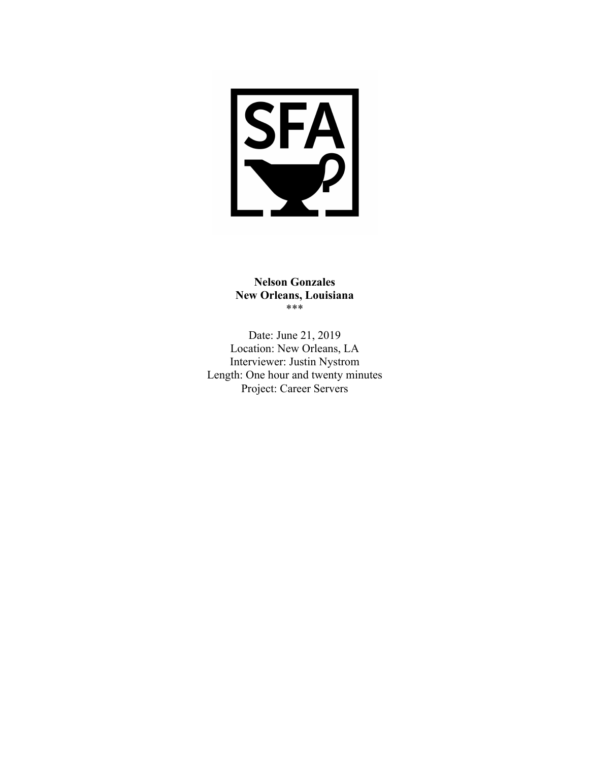

**Nelson Gonzales New Orleans, Louisiana** \*\*\*

Date: June 21, 2019 Location: New Orleans, LA Interviewer: Justin Nystrom Length: One hour and twenty minutes Project: Career Servers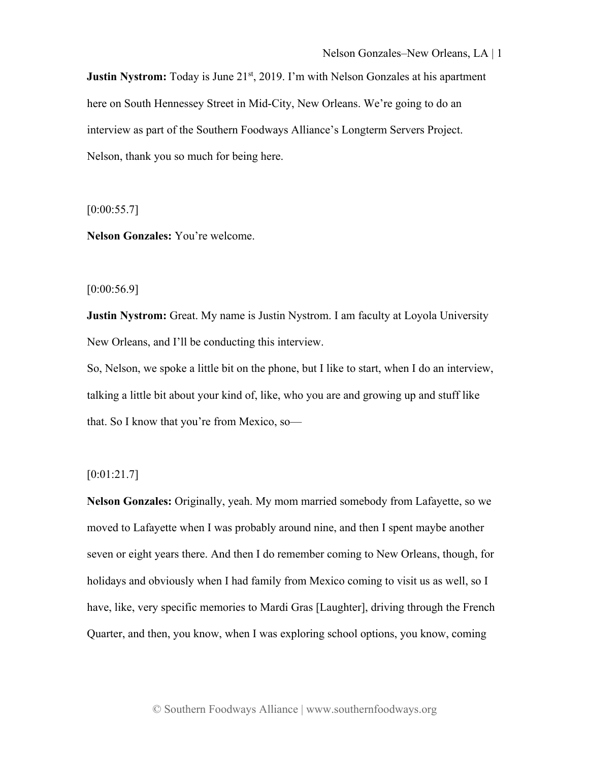**Justin Nystrom:** Today is June 21<sup>st</sup>, 2019. I'm with Nelson Gonzales at his apartment here on South Hennessey Street in Mid-City, New Orleans. We're going to do an interview as part of the Southern Foodways Alliance's Longterm Servers Project. Nelson, thank you so much for being here.

 $[0:00:55.7]$ 

**Nelson Gonzales:** You're welcome.

 $[0:00:56.9]$ 

**Justin Nystrom:** Great. My name is Justin Nystrom. I am faculty at Loyola University New Orleans, and I'll be conducting this interview.

So, Nelson, we spoke a little bit on the phone, but I like to start, when I do an interview, talking a little bit about your kind of, like, who you are and growing up and stuff like that. So I know that you're from Mexico, so—

[0:01:21.7]

**Nelson Gonzales:** Originally, yeah. My mom married somebody from Lafayette, so we moved to Lafayette when I was probably around nine, and then I spent maybe another seven or eight years there. And then I do remember coming to New Orleans, though, for holidays and obviously when I had family from Mexico coming to visit us as well, so I have, like, very specific memories to Mardi Gras [Laughter], driving through the French Quarter, and then, you know, when I was exploring school options, you know, coming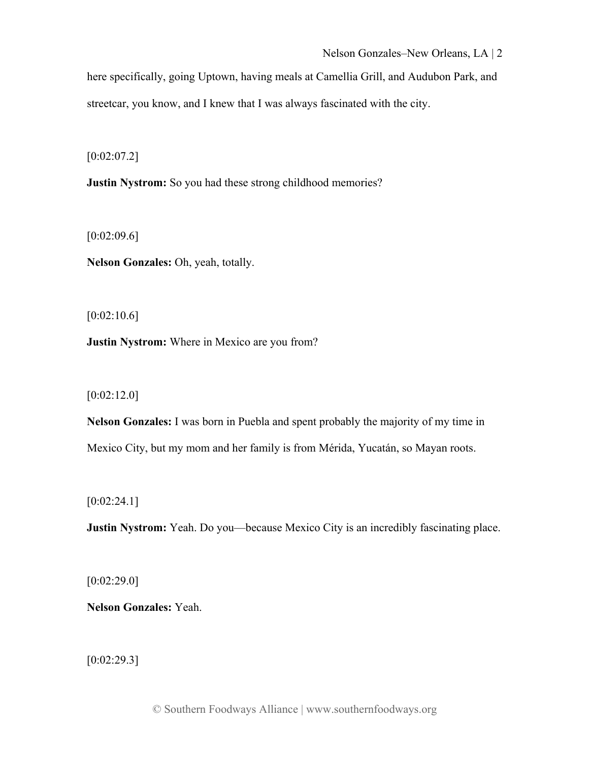here specifically, going Uptown, having meals at Camellia Grill, and Audubon Park, and streetcar, you know, and I knew that I was always fascinated with the city.

 $[0:02:07.2]$ 

**Justin Nystrom:** So you had these strong childhood memories?

 $[0:02:09.6]$ 

**Nelson Gonzales:** Oh, yeah, totally.

 $[0:02:10.6]$ 

**Justin Nystrom:** Where in Mexico are you from?

[0:02:12.0]

**Nelson Gonzales:** I was born in Puebla and spent probably the majority of my time in Mexico City, but my mom and her family is from Mérida, Yucatán, so Mayan roots.

 $[0:02:24.1]$ 

**Justin Nystrom:** Yeah. Do you—because Mexico City is an incredibly fascinating place.

[0:02:29.0]

**Nelson Gonzales:** Yeah.

 $[0:02:29.3]$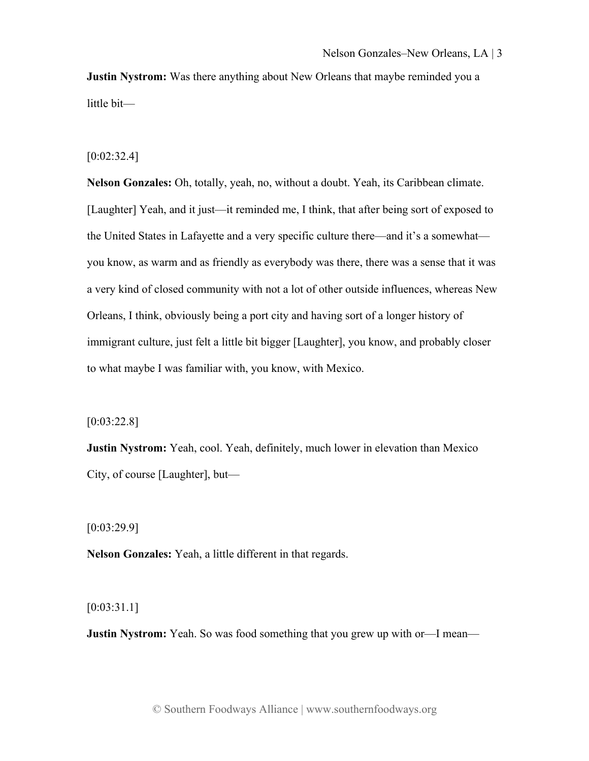**Justin Nystrom:** Was there anything about New Orleans that maybe reminded you a little bit—

#### [0:02:32.4]

**Nelson Gonzales:** Oh, totally, yeah, no, without a doubt. Yeah, its Caribbean climate. [Laughter] Yeah, and it just—it reminded me, I think, that after being sort of exposed to the United States in Lafayette and a very specific culture there—and it's a somewhat you know, as warm and as friendly as everybody was there, there was a sense that it was a very kind of closed community with not a lot of other outside influences, whereas New Orleans, I think, obviously being a port city and having sort of a longer history of immigrant culture, just felt a little bit bigger [Laughter], you know, and probably closer to what maybe I was familiar with, you know, with Mexico.

[0:03:22.8]

**Justin Nystrom:** Yeah, cool. Yeah, definitely, much lower in elevation than Mexico City, of course [Laughter], but—

[0:03:29.9]

**Nelson Gonzales:** Yeah, a little different in that regards.

[0:03:31.1]

**Justin Nystrom:** Yeah. So was food something that you grew up with or—I mean—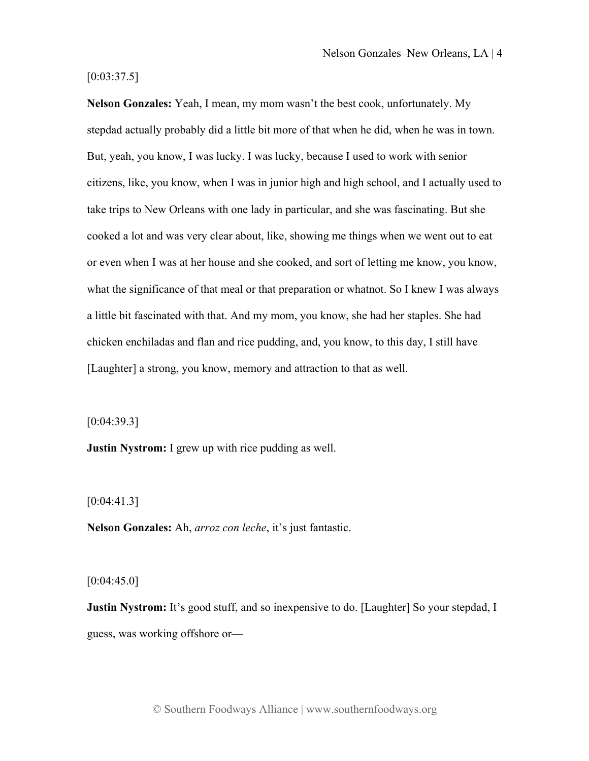## $[0:03:37.5]$

**Nelson Gonzales:** Yeah, I mean, my mom wasn't the best cook, unfortunately. My stepdad actually probably did a little bit more of that when he did, when he was in town. But, yeah, you know, I was lucky. I was lucky, because I used to work with senior citizens, like, you know, when I was in junior high and high school, and I actually used to take trips to New Orleans with one lady in particular, and she was fascinating. But she cooked a lot and was very clear about, like, showing me things when we went out to eat or even when I was at her house and she cooked, and sort of letting me know, you know, what the significance of that meal or that preparation or whatnot. So I knew I was always a little bit fascinated with that. And my mom, you know, she had her staples. She had chicken enchiladas and flan and rice pudding, and, you know, to this day, I still have [Laughter] a strong, you know, memory and attraction to that as well.

[0:04:39.3]

**Justin Nystrom:** I grew up with rice pudding as well.

[0:04:41.3]

**Nelson Gonzales:** Ah, *arroz con leche*, it's just fantastic.

 $[0:04:45.0]$ 

**Justin Nystrom:** It's good stuff, and so inexpensive to do. [Laughter] So your stepdad, I guess, was working offshore or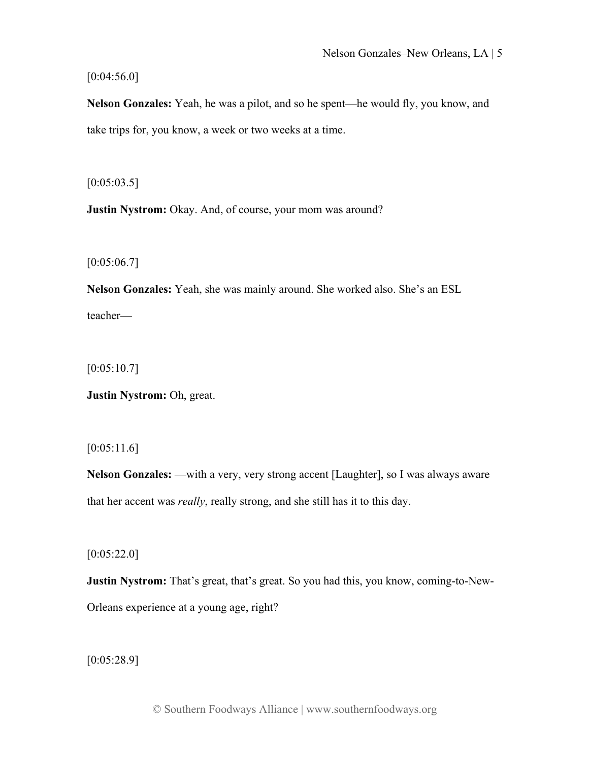$[0:04:56.0]$ 

**Nelson Gonzales:** Yeah, he was a pilot, and so he spent—he would fly, you know, and take trips for, you know, a week or two weeks at a time.

 $[0:05:03.5]$ 

**Justin Nystrom:** Okay. And, of course, your mom was around?

 $[0:05:06.7]$ 

**Nelson Gonzales:** Yeah, she was mainly around. She worked also. She's an ESL teacher—

 $[0:05:10.7]$ 

**Justin Nystrom:** Oh, great.

 $[0:05:11.6]$ 

**Nelson Gonzales:** —with a very, very strong accent [Laughter], so I was always aware that her accent was *really*, really strong, and she still has it to this day.

 $[0:05:22.0]$ 

**Justin Nystrom:** That's great, that's great. So you had this, you know, coming-to-New-Orleans experience at a young age, right?

 $[0:05:28.9]$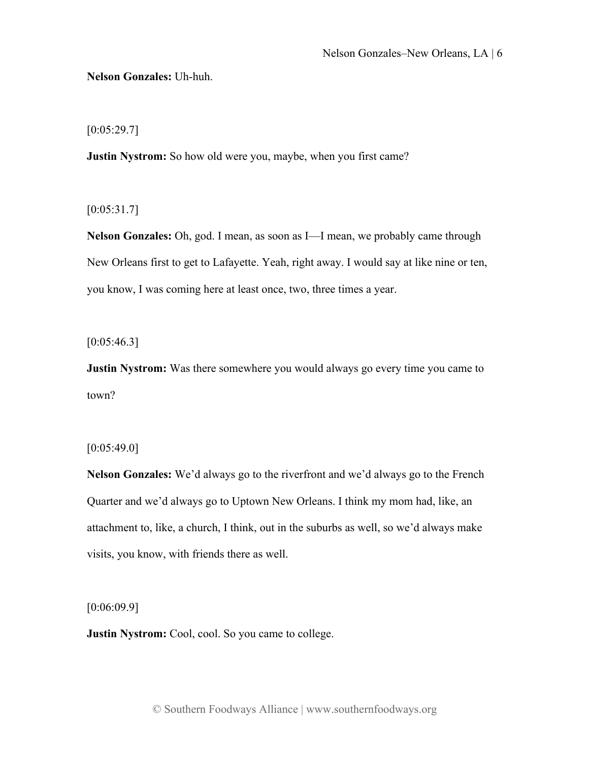**Nelson Gonzales:** Uh-huh.

 $[0:05:29.7]$ 

**Justin Nystrom:** So how old were you, maybe, when you first came?

 $[0:05:31.7]$ 

**Nelson Gonzales:** Oh, god. I mean, as soon as I—I mean, we probably came through New Orleans first to get to Lafayette. Yeah, right away. I would say at like nine or ten, you know, I was coming here at least once, two, three times a year.

 $[0:05:46.3]$ 

**Justin Nystrom:** Was there somewhere you would always go every time you came to town?

 $[0:05:49.0]$ 

**Nelson Gonzales:** We'd always go to the riverfront and we'd always go to the French Quarter and we'd always go to Uptown New Orleans. I think my mom had, like, an attachment to, like, a church, I think, out in the suburbs as well, so we'd always make visits, you know, with friends there as well.

[0:06:09.9]

**Justin Nystrom:** Cool, cool. So you came to college.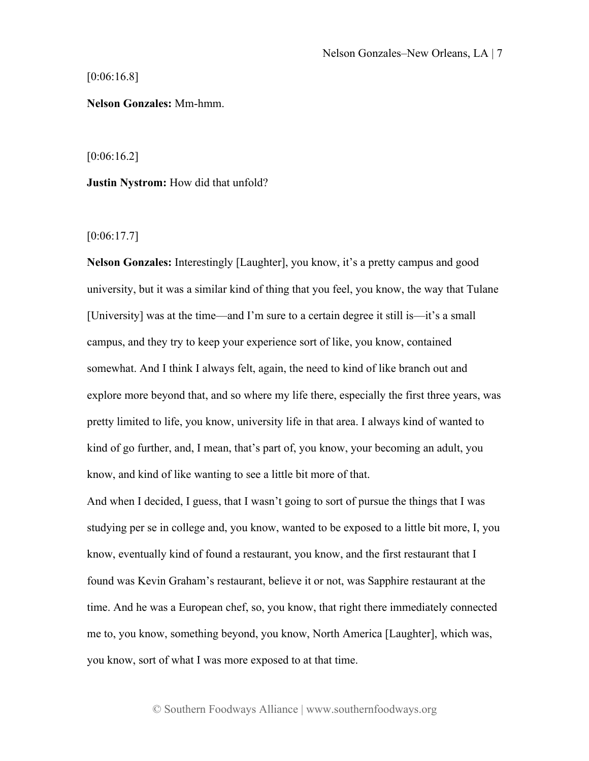[0:06:16.8]

**Nelson Gonzales:** Mm-hmm.

[0:06:16.2]

**Justin Nystrom:** How did that unfold?

[0:06:17.7]

**Nelson Gonzales:** Interestingly [Laughter], you know, it's a pretty campus and good university, but it was a similar kind of thing that you feel, you know, the way that Tulane [University] was at the time—and I'm sure to a certain degree it still is—it's a small campus, and they try to keep your experience sort of like, you know, contained somewhat. And I think I always felt, again, the need to kind of like branch out and explore more beyond that, and so where my life there, especially the first three years, was pretty limited to life, you know, university life in that area. I always kind of wanted to kind of go further, and, I mean, that's part of, you know, your becoming an adult, you know, and kind of like wanting to see a little bit more of that.

And when I decided, I guess, that I wasn't going to sort of pursue the things that I was studying per se in college and, you know, wanted to be exposed to a little bit more, I, you know, eventually kind of found a restaurant, you know, and the first restaurant that I found was Kevin Graham's restaurant, believe it or not, was Sapphire restaurant at the time. And he was a European chef, so, you know, that right there immediately connected me to, you know, something beyond, you know, North America [Laughter], which was, you know, sort of what I was more exposed to at that time.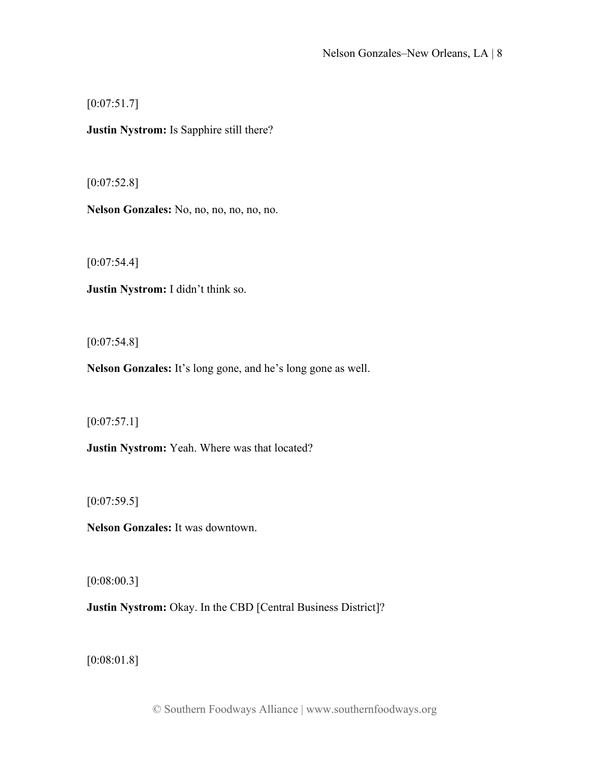[0:07:51.7]

**Justin Nystrom:** Is Sapphire still there?

 $[0:07:52.8]$ 

**Nelson Gonzales:** No, no, no, no, no, no.

[0:07:54.4]

**Justin Nystrom:** I didn't think so.

 $[0:07:54.8]$ 

**Nelson Gonzales:** It's long gone, and he's long gone as well.

 $[0:07:57.1]$ 

**Justin Nystrom:** Yeah. Where was that located?

 $[0:07:59.5]$ 

**Nelson Gonzales:** It was downtown.

[0:08:00.3]

**Justin Nystrom:** Okay. In the CBD [Central Business District]?

[0:08:01.8]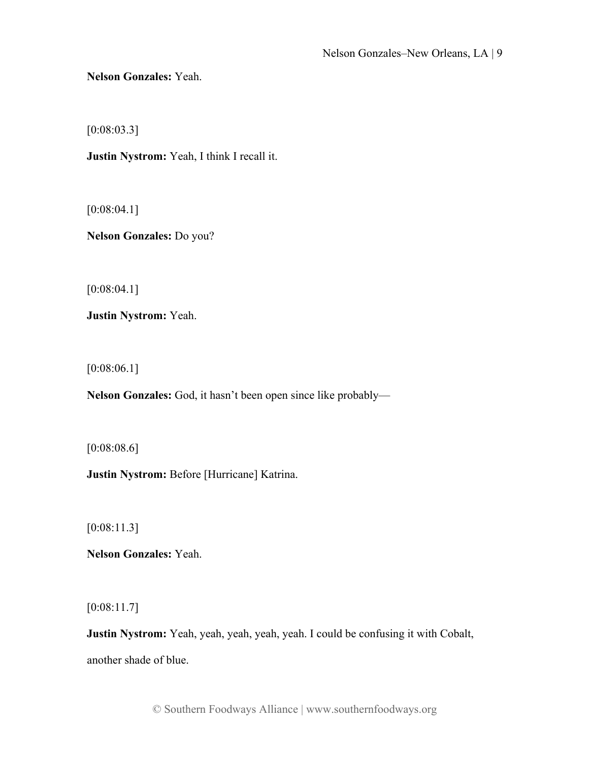**Nelson Gonzales:** Yeah.

[0:08:03.3]

**Justin Nystrom:** Yeah, I think I recall it.

[0:08:04.1]

**Nelson Gonzales:** Do you?

[0:08:04.1]

**Justin Nystrom:** Yeah.

[0:08:06.1]

**Nelson Gonzales:** God, it hasn't been open since like probably—

[0:08:08.6]

**Justin Nystrom:** Before [Hurricane] Katrina.

[0:08:11.3]

**Nelson Gonzales:** Yeah.

[0:08:11.7]

**Justin Nystrom:** Yeah, yeah, yeah, yeah, yeah. I could be confusing it with Cobalt, another shade of blue.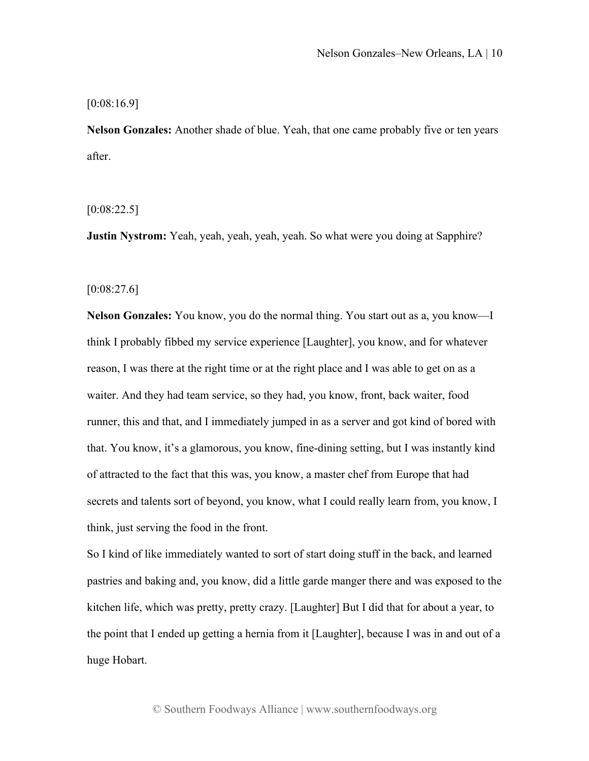[0:08:16.9]

**Nelson Gonzales:** Another shade of blue. Yeah, that one came probably five or ten years after.

 $[0:08:22.5]$ 

**Justin Nystrom:** Yeah, yeah, yeah, yeah, yeah. So what were you doing at Sapphire?

 $[0:08:27.6]$ 

**Nelson Gonzales:** You know, you do the normal thing. You start out as a, you know—I think I probably fibbed my service experience [Laughter], you know, and for whatever reason, I was there at the right time or at the right place and I was able to get on as a waiter. And they had team service, so they had, you know, front, back waiter, food runner, this and that, and I immediately jumped in as a server and got kind of bored with that. You know, it's a glamorous, you know, fine-dining setting, but I was instantly kind of attracted to the fact that this was, you know, a master chef from Europe that had secrets and talents sort of beyond, you know, what I could really learn from, you know, I think, just serving the food in the front.

So I kind of like immediately wanted to sort of start doing stuff in the back, and learned pastries and baking and, you know, did a little garde manger there and was exposed to the kitchen life, which was pretty, pretty crazy. [Laughter] But I did that for about a year, to the point that I ended up getting a hernia from it [Laughter], because I was in and out of a huge Hobart.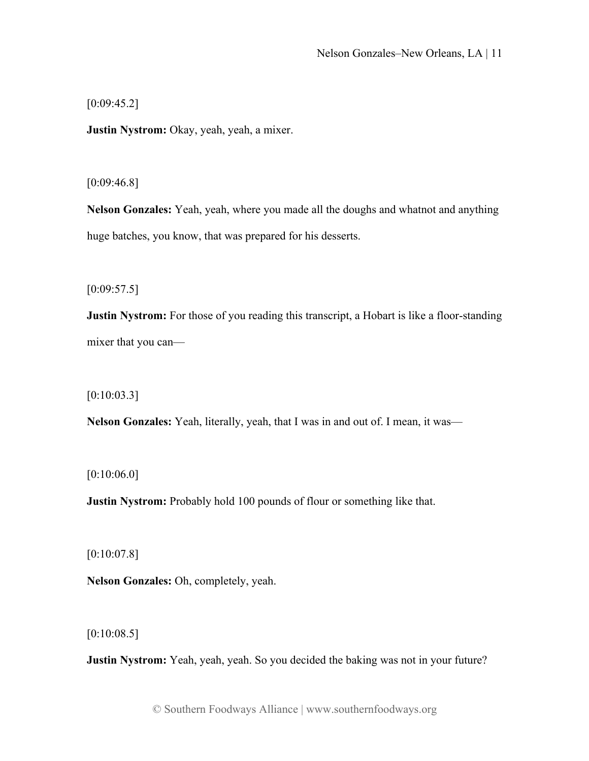$[0:09:45.2]$ 

**Justin Nystrom:** Okay, yeah, yeah, a mixer.

[0:09:46.8]

**Nelson Gonzales:** Yeah, yeah, where you made all the doughs and whatnot and anything huge batches, you know, that was prepared for his desserts.

 $[0:09:57.5]$ 

**Justin Nystrom:** For those of you reading this transcript, a Hobart is like a floor-standing mixer that you can—

 $[0:10:03.3]$ 

**Nelson Gonzales:** Yeah, literally, yeah, that I was in and out of. I mean, it was—

 $[0:10:06.0]$ 

**Justin Nystrom:** Probably hold 100 pounds of flour or something like that.

 $[0:10:07.8]$ 

**Nelson Gonzales:** Oh, completely, yeah.

 $[0:10:08.5]$ 

**Justin Nystrom:** Yeah, yeah, yeah. So you decided the baking was not in your future?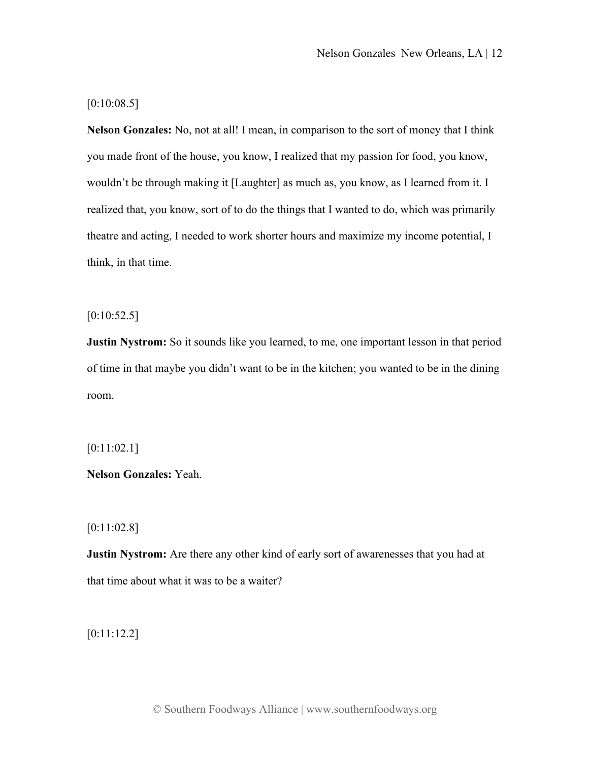# $[0:10:08.5]$

**Nelson Gonzales:** No, not at all! I mean, in comparison to the sort of money that I think you made front of the house, you know, I realized that my passion for food, you know, wouldn't be through making it [Laughter] as much as, you know, as I learned from it. I realized that, you know, sort of to do the things that I wanted to do, which was primarily theatre and acting, I needed to work shorter hours and maximize my income potential, I think, in that time.

### $[0:10:52.5]$

**Justin Nystrom:** So it sounds like you learned, to me, one important lesson in that period of time in that maybe you didn't want to be in the kitchen; you wanted to be in the dining room.

[0:11:02.1]

**Nelson Gonzales:** Yeah.

[0:11:02.8]

**Justin Nystrom:** Are there any other kind of early sort of awarenesses that you had at that time about what it was to be a waiter?

[0:11:12.2]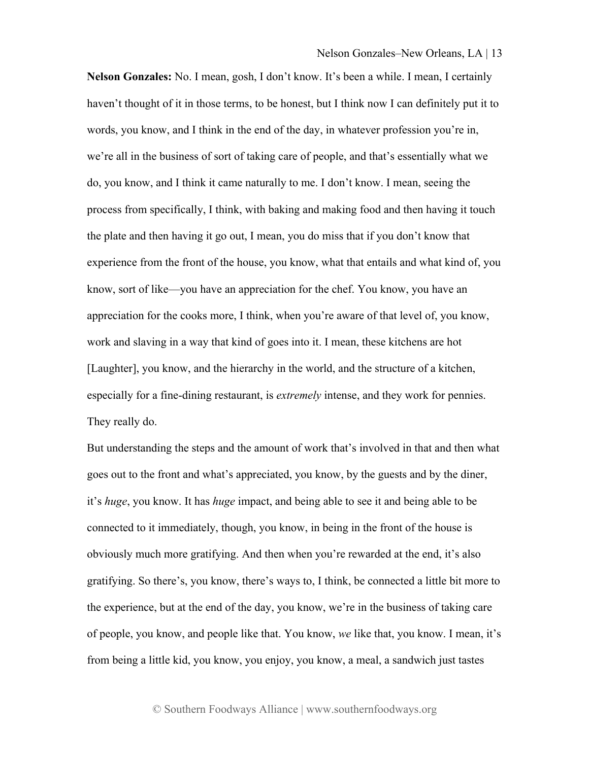**Nelson Gonzales:** No. I mean, gosh, I don't know. It's been a while. I mean, I certainly haven't thought of it in those terms, to be honest, but I think now I can definitely put it to words, you know, and I think in the end of the day, in whatever profession you're in, we're all in the business of sort of taking care of people, and that's essentially what we do, you know, and I think it came naturally to me. I don't know. I mean, seeing the process from specifically, I think, with baking and making food and then having it touch the plate and then having it go out, I mean, you do miss that if you don't know that experience from the front of the house, you know, what that entails and what kind of, you know, sort of like—you have an appreciation for the chef. You know, you have an appreciation for the cooks more, I think, when you're aware of that level of, you know, work and slaving in a way that kind of goes into it. I mean, these kitchens are hot [Laughter], you know, and the hierarchy in the world, and the structure of a kitchen, especially for a fine-dining restaurant, is *extremely* intense, and they work for pennies. They really do.

But understanding the steps and the amount of work that's involved in that and then what goes out to the front and what's appreciated, you know, by the guests and by the diner, it's *huge*, you know. It has *huge* impact, and being able to see it and being able to be connected to it immediately, though, you know, in being in the front of the house is obviously much more gratifying. And then when you're rewarded at the end, it's also gratifying. So there's, you know, there's ways to, I think, be connected a little bit more to the experience, but at the end of the day, you know, we're in the business of taking care of people, you know, and people like that. You know, *we* like that, you know. I mean, it's from being a little kid, you know, you enjoy, you know, a meal, a sandwich just tastes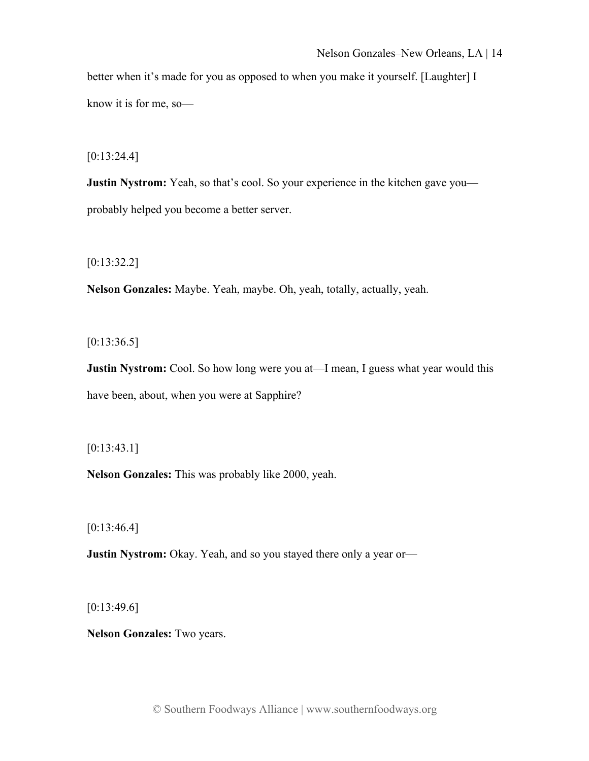better when it's made for you as opposed to when you make it yourself. [Laughter] I know it is for me, so—

 $[0:13:24.4]$ 

**Justin Nystrom:** Yeah, so that's cool. So your experience in the kitchen gave you probably helped you become a better server.

[0:13:32.2]

**Nelson Gonzales:** Maybe. Yeah, maybe. Oh, yeah, totally, actually, yeah.

 $[0:13:36.5]$ 

**Justin Nystrom:** Cool. So how long were you at—I mean, I guess what year would this have been, about, when you were at Sapphire?

 $[0:13:43.1]$ 

**Nelson Gonzales:** This was probably like 2000, yeah.

 $[0:13:46.4]$ 

**Justin Nystrom:** Okay. Yeah, and so you stayed there only a year or—

 $[0:13:49.6]$ 

**Nelson Gonzales:** Two years.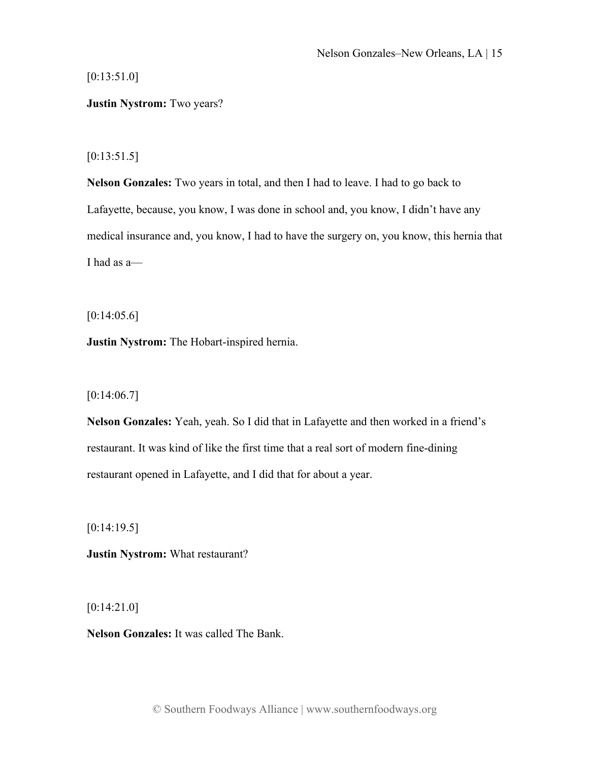# [0:13:51.0]

### **Justin Nystrom:** Two years?

## $[0:13:51.5]$

**Nelson Gonzales:** Two years in total, and then I had to leave. I had to go back to Lafayette, because, you know, I was done in school and, you know, I didn't have any medical insurance and, you know, I had to have the surgery on, you know, this hernia that I had as a—

 $[0:14:05.6]$ 

**Justin Nystrom:** The Hobart-inspired hernia.

 $[0:14:06.7]$ 

**Nelson Gonzales:** Yeah, yeah. So I did that in Lafayette and then worked in a friend's restaurant. It was kind of like the first time that a real sort of modern fine-dining restaurant opened in Lafayette, and I did that for about a year.

 $[0:14:19.5]$ 

**Justin Nystrom:** What restaurant?

[0:14:21.0]

**Nelson Gonzales:** It was called The Bank.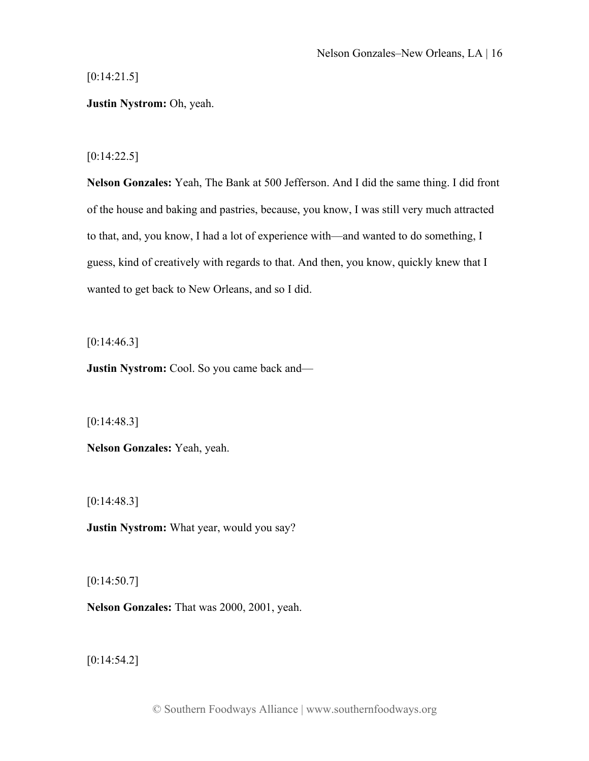$[0:14:21.5]$ 

**Justin Nystrom:** Oh, yeah.

 $[0:14:22.5]$ 

**Nelson Gonzales:** Yeah, The Bank at 500 Jefferson. And I did the same thing. I did front of the house and baking and pastries, because, you know, I was still very much attracted to that, and, you know, I had a lot of experience with—and wanted to do something, I guess, kind of creatively with regards to that. And then, you know, quickly knew that I wanted to get back to New Orleans, and so I did.

 $[0:14:46.3]$ 

**Justin Nystrom:** Cool. So you came back and—

[0:14:48.3]

**Nelson Gonzales:** Yeah, yeah.

[0:14:48.3]

**Justin Nystrom:** What year, would you say?

 $[0:14:50.7]$ 

**Nelson Gonzales:** That was 2000, 2001, yeah.

 $[0:14:54.2]$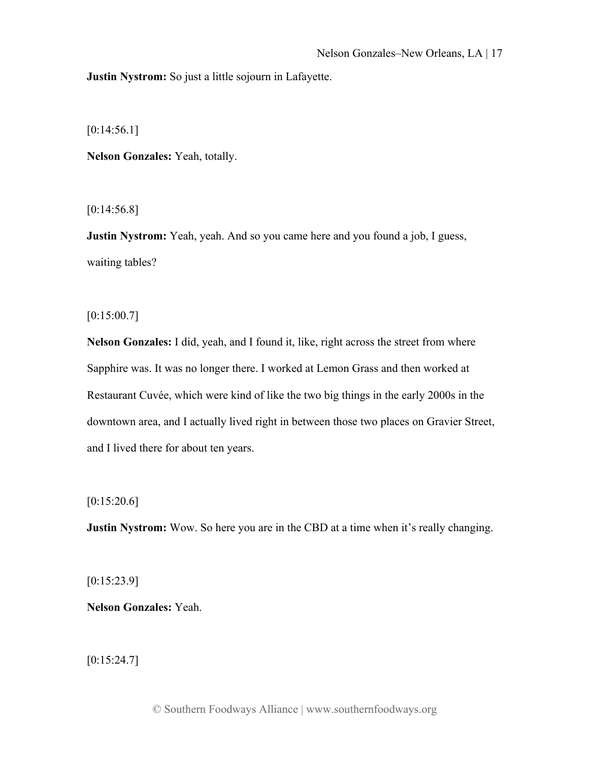**Justin Nystrom:** So just a little sojourn in Lafayette.

 $[0:14:56.1]$ 

**Nelson Gonzales:** Yeah, totally.

[0:14:56.8]

**Justin Nystrom:** Yeah, yeah. And so you came here and you found a job, I guess, waiting tables?

 $[0:15:00.7]$ 

**Nelson Gonzales:** I did, yeah, and I found it, like, right across the street from where Sapphire was. It was no longer there. I worked at Lemon Grass and then worked at Restaurant Cuvée, which were kind of like the two big things in the early 2000s in the downtown area, and I actually lived right in between those two places on Gravier Street, and I lived there for about ten years.

 $[0:15:20.6]$ 

**Justin Nystrom:** Wow. So here you are in the CBD at a time when it's really changing.

 $[0:15:23.9]$ 

**Nelson Gonzales:** Yeah.

 $[0:15:24.7]$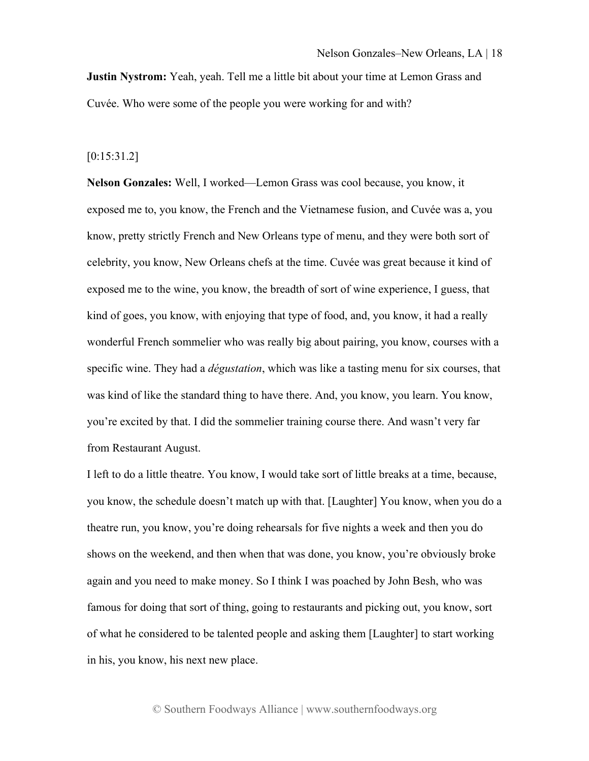**Justin Nystrom:** Yeah, yeah. Tell me a little bit about your time at Lemon Grass and Cuvée. Who were some of the people you were working for and with?

### [0:15:31.2]

**Nelson Gonzales:** Well, I worked—Lemon Grass was cool because, you know, it exposed me to, you know, the French and the Vietnamese fusion, and Cuvée was a, you know, pretty strictly French and New Orleans type of menu, and they were both sort of celebrity, you know, New Orleans chefs at the time. Cuvée was great because it kind of exposed me to the wine, you know, the breadth of sort of wine experience, I guess, that kind of goes, you know, with enjoying that type of food, and, you know, it had a really wonderful French sommelier who was really big about pairing, you know, courses with a specific wine. They had a *dégustation*, which was like a tasting menu for six courses, that was kind of like the standard thing to have there. And, you know, you learn. You know, you're excited by that. I did the sommelier training course there. And wasn't very far from Restaurant August.

I left to do a little theatre. You know, I would take sort of little breaks at a time, because, you know, the schedule doesn't match up with that. [Laughter] You know, when you do a theatre run, you know, you're doing rehearsals for five nights a week and then you do shows on the weekend, and then when that was done, you know, you're obviously broke again and you need to make money. So I think I was poached by John Besh, who was famous for doing that sort of thing, going to restaurants and picking out, you know, sort of what he considered to be talented people and asking them [Laughter] to start working in his, you know, his next new place.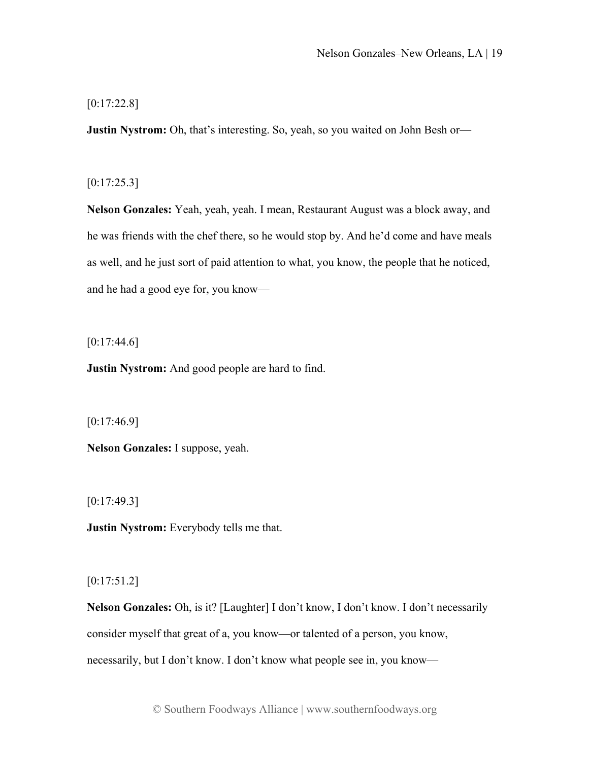[0:17:22.8]

**Justin Nystrom:** Oh, that's interesting. So, yeah, so you waited on John Besh or—

 $[0:17:25.3]$ 

**Nelson Gonzales:** Yeah, yeah, yeah. I mean, Restaurant August was a block away, and he was friends with the chef there, so he would stop by. And he'd come and have meals as well, and he just sort of paid attention to what, you know, the people that he noticed, and he had a good eye for, you know—

 $[0:17:44.6]$ 

**Justin Nystrom:** And good people are hard to find.

 $[0:17:46.9]$ 

**Nelson Gonzales:** I suppose, yeah.

 $[0:17:49.3]$ 

**Justin Nystrom:** Everybody tells me that.

[0:17:51.2]

**Nelson Gonzales:** Oh, is it? [Laughter] I don't know, I don't know. I don't necessarily consider myself that great of a, you know—or talented of a person, you know, necessarily, but I don't know. I don't know what people see in, you know—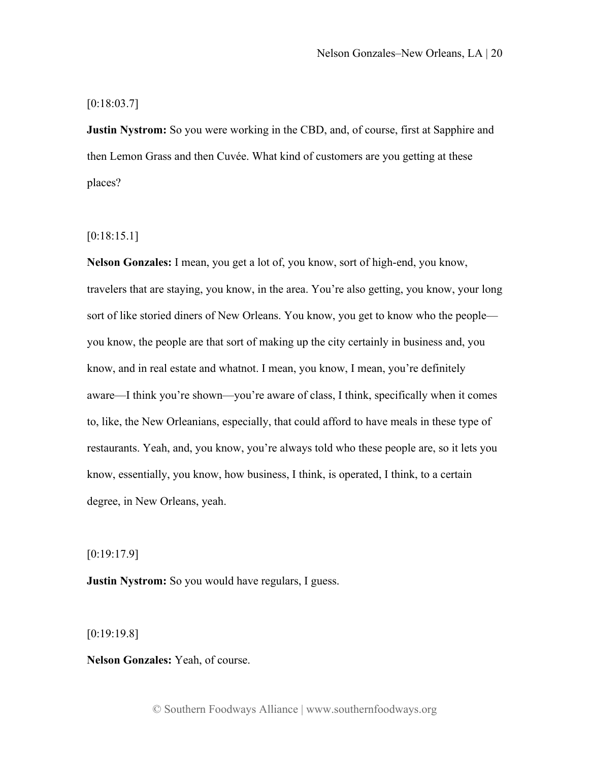# [0:18:03.7]

**Justin Nystrom:** So you were working in the CBD, and, of course, first at Sapphire and then Lemon Grass and then Cuvée. What kind of customers are you getting at these places?

## [0:18:15.1]

**Nelson Gonzales:** I mean, you get a lot of, you know, sort of high-end, you know, travelers that are staying, you know, in the area. You're also getting, you know, your long sort of like storied diners of New Orleans. You know, you get to know who the people you know, the people are that sort of making up the city certainly in business and, you know, and in real estate and whatnot. I mean, you know, I mean, you're definitely aware—I think you're shown—you're aware of class, I think, specifically when it comes to, like, the New Orleanians, especially, that could afford to have meals in these type of restaurants. Yeah, and, you know, you're always told who these people are, so it lets you know, essentially, you know, how business, I think, is operated, I think, to a certain degree, in New Orleans, yeah.

[0:19:17.9]

**Justin Nystrom:** So you would have regulars, I guess.

[0:19:19.8]

**Nelson Gonzales:** Yeah, of course.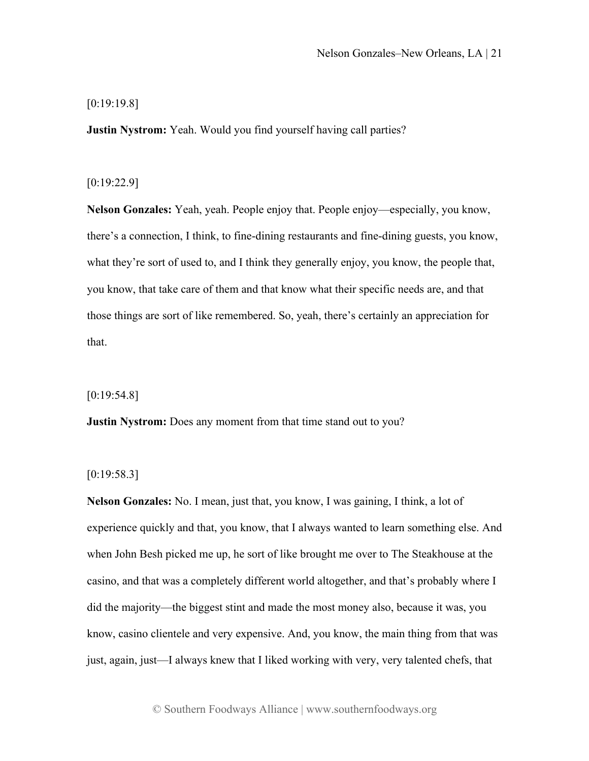## [0:19:19.8]

**Justin Nystrom:** Yeah. Would you find yourself having call parties?

### [0:19:22.9]

**Nelson Gonzales:** Yeah, yeah. People enjoy that. People enjoy—especially, you know, there's a connection, I think, to fine-dining restaurants and fine-dining guests, you know, what they're sort of used to, and I think they generally enjoy, you know, the people that, you know, that take care of them and that know what their specific needs are, and that those things are sort of like remembered. So, yeah, there's certainly an appreciation for that.

### [0:19:54.8]

**Justin Nystrom:** Does any moment from that time stand out to you?

### [0:19:58.3]

**Nelson Gonzales:** No. I mean, just that, you know, I was gaining, I think, a lot of experience quickly and that, you know, that I always wanted to learn something else. And when John Besh picked me up, he sort of like brought me over to The Steakhouse at the casino, and that was a completely different world altogether, and that's probably where I did the majority—the biggest stint and made the most money also, because it was, you know, casino clientele and very expensive. And, you know, the main thing from that was just, again, just—I always knew that I liked working with very, very talented chefs, that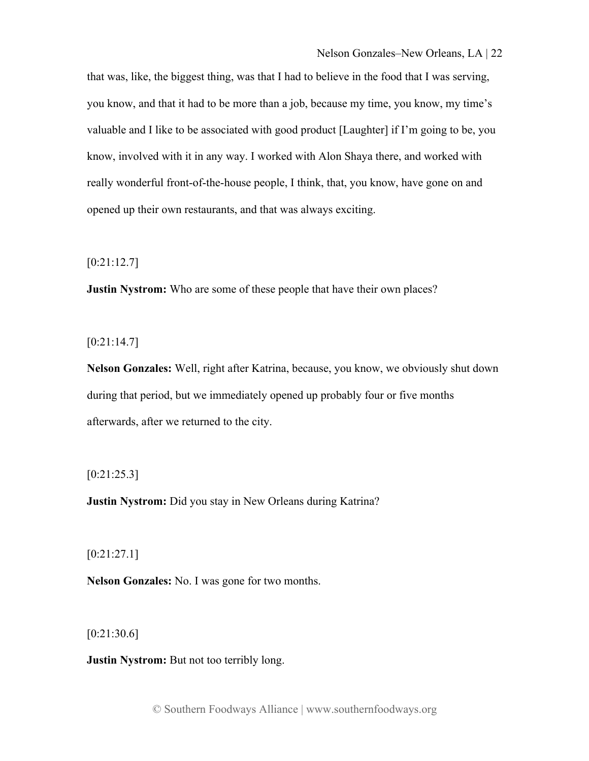that was, like, the biggest thing, was that I had to believe in the food that I was serving, you know, and that it had to be more than a job, because my time, you know, my time's valuable and I like to be associated with good product [Laughter] if I'm going to be, you know, involved with it in any way. I worked with Alon Shaya there, and worked with really wonderful front-of-the-house people, I think, that, you know, have gone on and opened up their own restaurants, and that was always exciting.

## [0:21:12.7]

**Justin Nystrom:** Who are some of these people that have their own places?

 $[0:21:14.7]$ 

**Nelson Gonzales:** Well, right after Katrina, because, you know, we obviously shut down during that period, but we immediately opened up probably four or five months afterwards, after we returned to the city.

# [0:21:25.3]

**Justin Nystrom:** Did you stay in New Orleans during Katrina?

[0:21:27.1]

**Nelson Gonzales:** No. I was gone for two months.

[0:21:30.6]

**Justin Nystrom:** But not too terribly long.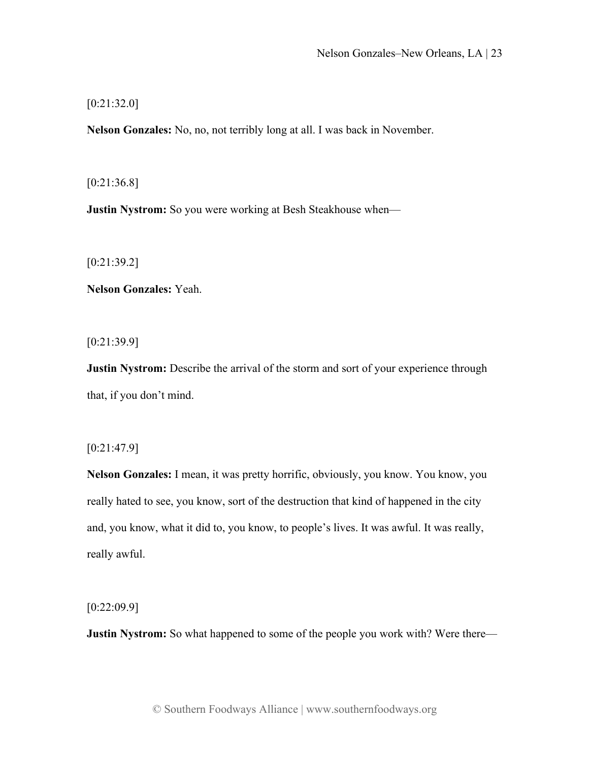[0:21:32.0]

**Nelson Gonzales:** No, no, not terribly long at all. I was back in November.

[0:21:36.8]

**Justin Nystrom:** So you were working at Besh Steakhouse when—

[0:21:39.2]

**Nelson Gonzales:** Yeah.

[0:21:39.9]

**Justin Nystrom:** Describe the arrival of the storm and sort of your experience through that, if you don't mind.

[0:21:47.9]

**Nelson Gonzales:** I mean, it was pretty horrific, obviously, you know. You know, you really hated to see, you know, sort of the destruction that kind of happened in the city and, you know, what it did to, you know, to people's lives. It was awful. It was really, really awful.

[0:22:09.9]

**Justin Nystrom:** So what happened to some of the people you work with? Were there—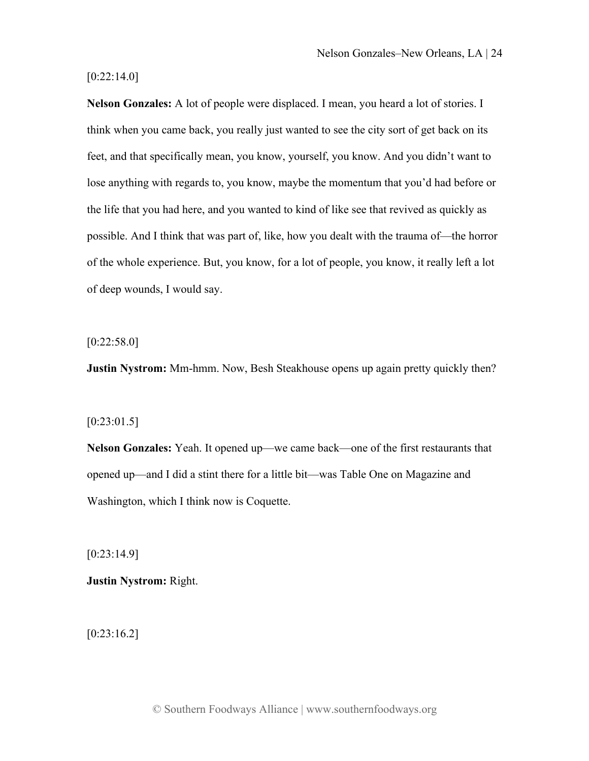$[0:22:14.0]$ 

**Nelson Gonzales:** A lot of people were displaced. I mean, you heard a lot of stories. I think when you came back, you really just wanted to see the city sort of get back on its feet, and that specifically mean, you know, yourself, you know. And you didn't want to lose anything with regards to, you know, maybe the momentum that you'd had before or the life that you had here, and you wanted to kind of like see that revived as quickly as possible. And I think that was part of, like, how you dealt with the trauma of—the horror of the whole experience. But, you know, for a lot of people, you know, it really left a lot of deep wounds, I would say.

 $[0:22:58.0]$ 

**Justin Nystrom:** Mm-hmm. Now, Besh Steakhouse opens up again pretty quickly then?

#### $[0:23:01.5]$

**Nelson Gonzales:** Yeah. It opened up—we came back—one of the first restaurants that opened up—and I did a stint there for a little bit—was Table One on Magazine and Washington, which I think now is Coquette.

 $[0:23:14.9]$ 

**Justin Nystrom:** Right.

 $[0:23:16.2]$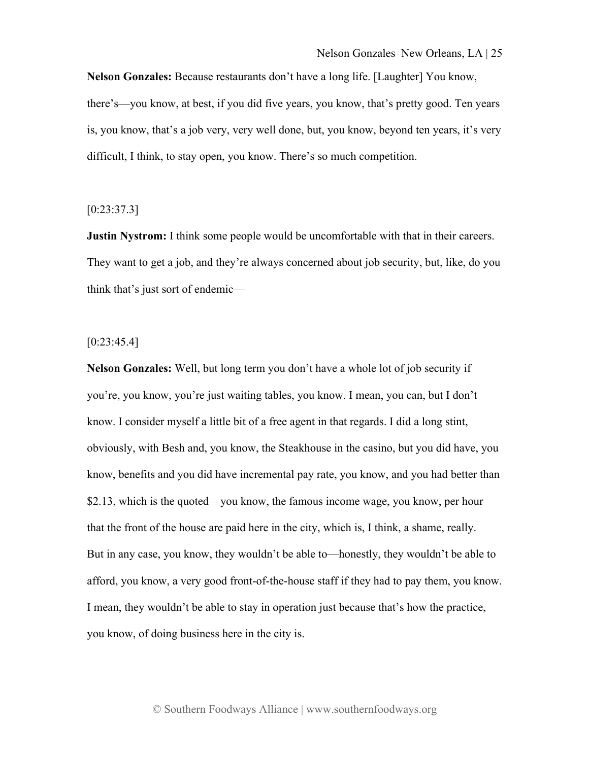**Nelson Gonzales:** Because restaurants don't have a long life. [Laughter] You know, there's—you know, at best, if you did five years, you know, that's pretty good. Ten years is, you know, that's a job very, very well done, but, you know, beyond ten years, it's very difficult, I think, to stay open, you know. There's so much competition.

## [0:23:37.3]

**Justin Nystrom:** I think some people would be uncomfortable with that in their careers. They want to get a job, and they're always concerned about job security, but, like, do you think that's just sort of endemic—

#### $[0:23:45.4]$

**Nelson Gonzales:** Well, but long term you don't have a whole lot of job security if you're, you know, you're just waiting tables, you know. I mean, you can, but I don't know. I consider myself a little bit of a free agent in that regards. I did a long stint, obviously, with Besh and, you know, the Steakhouse in the casino, but you did have, you know, benefits and you did have incremental pay rate, you know, and you had better than \$2.13, which is the quoted—you know, the famous income wage, you know, per hour that the front of the house are paid here in the city, which is, I think, a shame, really. But in any case, you know, they wouldn't be able to—honestly, they wouldn't be able to afford, you know, a very good front-of-the-house staff if they had to pay them, you know. I mean, they wouldn't be able to stay in operation just because that's how the practice, you know, of doing business here in the city is.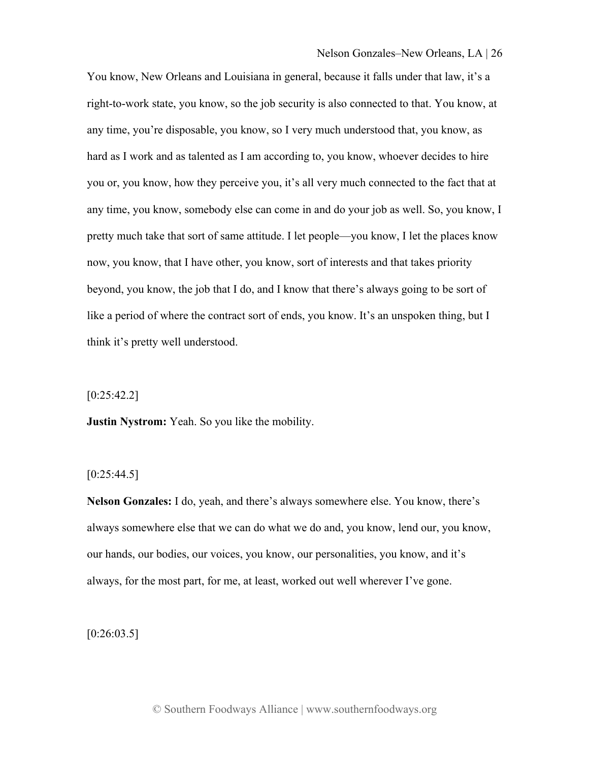Nelson Gonzales–New Orleans, LA | 26

You know, New Orleans and Louisiana in general, because it falls under that law, it's a right-to-work state, you know, so the job security is also connected to that. You know, at any time, you're disposable, you know, so I very much understood that, you know, as hard as I work and as talented as I am according to, you know, whoever decides to hire you or, you know, how they perceive you, it's all very much connected to the fact that at any time, you know, somebody else can come in and do your job as well. So, you know, I pretty much take that sort of same attitude. I let people—you know, I let the places know now, you know, that I have other, you know, sort of interests and that takes priority beyond, you know, the job that I do, and I know that there's always going to be sort of like a period of where the contract sort of ends, you know. It's an unspoken thing, but I think it's pretty well understood.

[0:25:42.2]

**Justin Nystrom:** Yeah. So you like the mobility.

### $[0:25:44.5]$

**Nelson Gonzales:** I do, yeah, and there's always somewhere else. You know, there's always somewhere else that we can do what we do and, you know, lend our, you know, our hands, our bodies, our voices, you know, our personalities, you know, and it's always, for the most part, for me, at least, worked out well wherever I've gone.

 $[0:26:03.5]$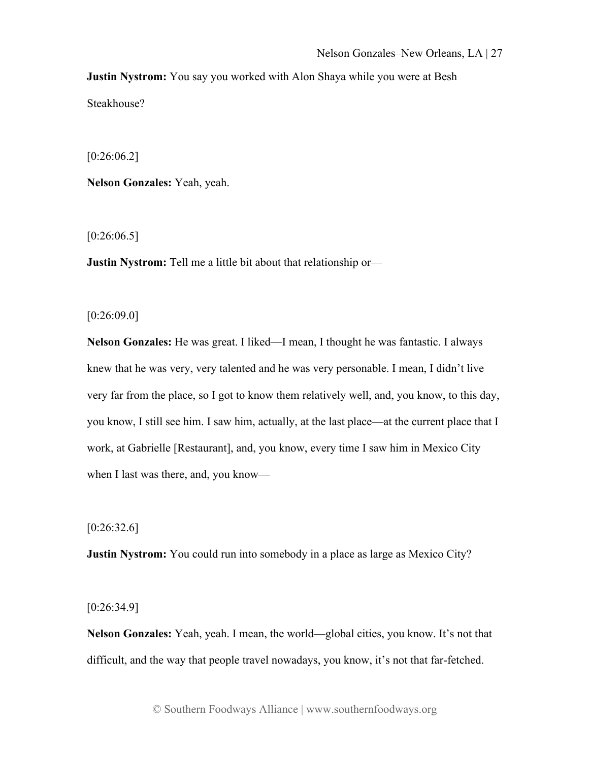**Justin Nystrom:** You say you worked with Alon Shaya while you were at Besh

Steakhouse?

[0:26:06.2]

**Nelson Gonzales:** Yeah, yeah.

 $[0:26:06.5]$ 

**Justin Nystrom:** Tell me a little bit about that relationship or—

[0:26:09.0]

**Nelson Gonzales:** He was great. I liked—I mean, I thought he was fantastic. I always knew that he was very, very talented and he was very personable. I mean, I didn't live very far from the place, so I got to know them relatively well, and, you know, to this day, you know, I still see him. I saw him, actually, at the last place—at the current place that I work, at Gabrielle [Restaurant], and, you know, every time I saw him in Mexico City when I last was there, and, you know—

 $[0:26:32.6]$ 

**Justin Nystrom:** You could run into somebody in a place as large as Mexico City?

[0:26:34.9]

**Nelson Gonzales:** Yeah, yeah. I mean, the world—global cities, you know. It's not that difficult, and the way that people travel nowadays, you know, it's not that far-fetched.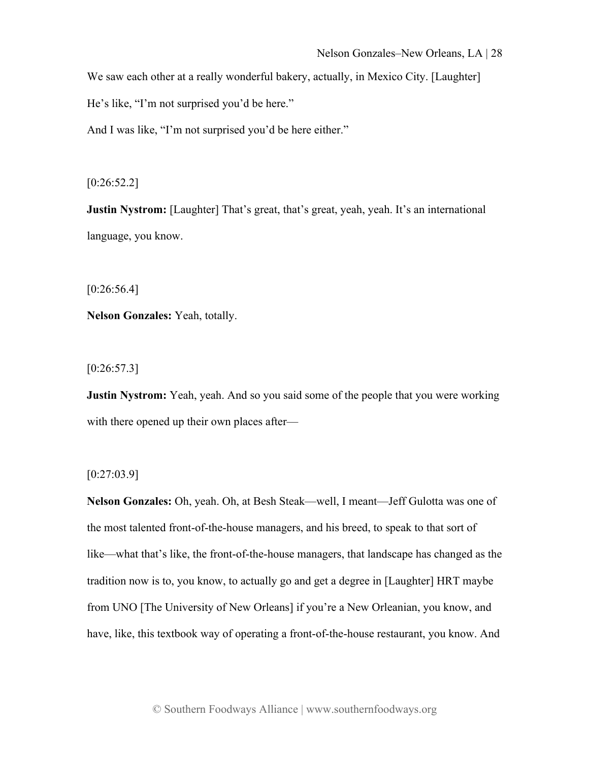We saw each other at a really wonderful bakery, actually, in Mexico City. [Laughter]

He's like, "I'm not surprised you'd be here."

And I was like, "I'm not surprised you'd be here either."

[0:26:52.2]

**Justin Nystrom:** [Laughter] That's great, that's great, yeah, yeah. It's an international language, you know.

 $[0:26:56.4]$ 

**Nelson Gonzales:** Yeah, totally.

 $[0:26:57.3]$ 

**Justin Nystrom:** Yeah, yeah. And so you said some of the people that you were working with there opened up their own places after—

 $[0:27:03.9]$ 

**Nelson Gonzales:** Oh, yeah. Oh, at Besh Steak—well, I meant—Jeff Gulotta was one of the most talented front-of-the-house managers, and his breed, to speak to that sort of like—what that's like, the front-of-the-house managers, that landscape has changed as the tradition now is to, you know, to actually go and get a degree in [Laughter] HRT maybe from UNO [The University of New Orleans] if you're a New Orleanian, you know, and have, like, this textbook way of operating a front-of-the-house restaurant, you know. And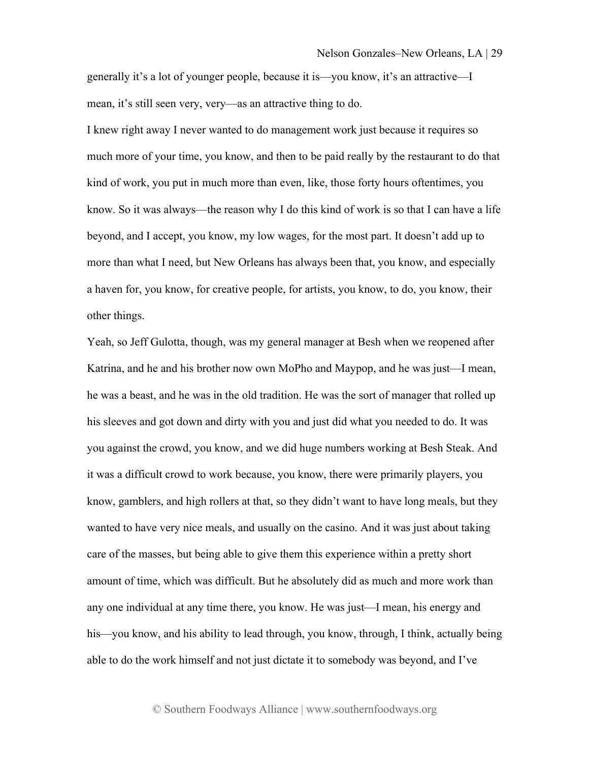generally it's a lot of younger people, because it is—you know, it's an attractive—I mean, it's still seen very, very—as an attractive thing to do.

I knew right away I never wanted to do management work just because it requires so much more of your time, you know, and then to be paid really by the restaurant to do that kind of work, you put in much more than even, like, those forty hours oftentimes, you know. So it was always—the reason why I do this kind of work is so that I can have a life beyond, and I accept, you know, my low wages, for the most part. It doesn't add up to more than what I need, but New Orleans has always been that, you know, and especially a haven for, you know, for creative people, for artists, you know, to do, you know, their other things.

Yeah, so Jeff Gulotta, though, was my general manager at Besh when we reopened after Katrina, and he and his brother now own MoPho and Maypop, and he was just—I mean, he was a beast, and he was in the old tradition. He was the sort of manager that rolled up his sleeves and got down and dirty with you and just did what you needed to do. It was you against the crowd, you know, and we did huge numbers working at Besh Steak. And it was a difficult crowd to work because, you know, there were primarily players, you know, gamblers, and high rollers at that, so they didn't want to have long meals, but they wanted to have very nice meals, and usually on the casino. And it was just about taking care of the masses, but being able to give them this experience within a pretty short amount of time, which was difficult. But he absolutely did as much and more work than any one individual at any time there, you know. He was just—I mean, his energy and his—you know, and his ability to lead through, you know, through, I think, actually being able to do the work himself and not just dictate it to somebody was beyond, and I've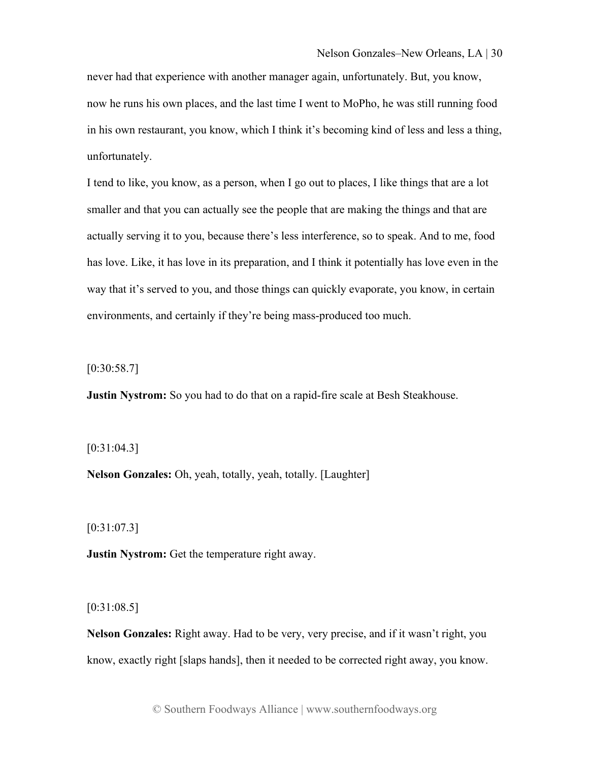never had that experience with another manager again, unfortunately. But, you know, now he runs his own places, and the last time I went to MoPho, he was still running food in his own restaurant, you know, which I think it's becoming kind of less and less a thing, unfortunately.

I tend to like, you know, as a person, when I go out to places, I like things that are a lot smaller and that you can actually see the people that are making the things and that are actually serving it to you, because there's less interference, so to speak. And to me, food has love. Like, it has love in its preparation, and I think it potentially has love even in the way that it's served to you, and those things can quickly evaporate, you know, in certain environments, and certainly if they're being mass-produced too much.

 $[0:30:58.7]$ 

**Justin Nystrom:** So you had to do that on a rapid-fire scale at Besh Steakhouse.

[0:31:04.3]

**Nelson Gonzales:** Oh, yeah, totally, yeah, totally. [Laughter]

[0:31:07.3]

**Justin Nystrom:** Get the temperature right away.

[0:31:08.5]

**Nelson Gonzales:** Right away. Had to be very, very precise, and if it wasn't right, you know, exactly right [slaps hands], then it needed to be corrected right away, you know.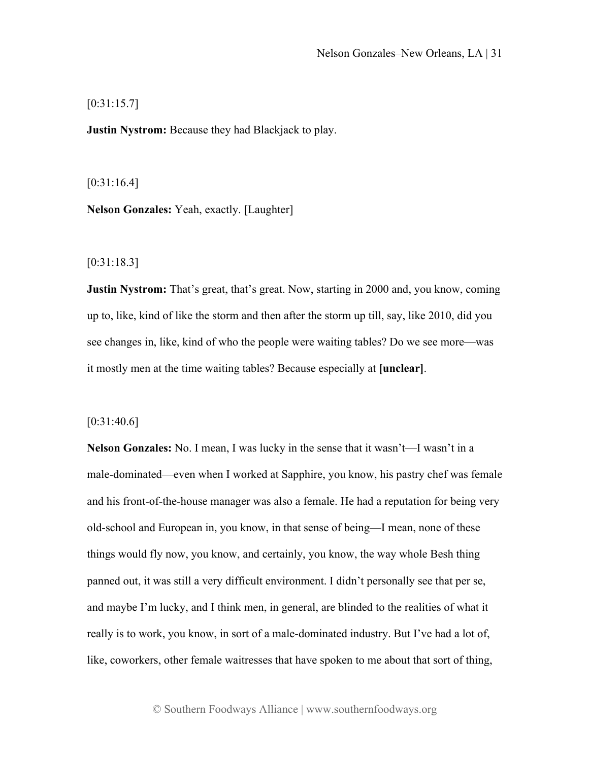$[0:31:15.7]$ 

**Justin Nystrom:** Because they had Blackjack to play.

[0:31:16.4]

**Nelson Gonzales:** Yeah, exactly. [Laughter]

[0:31:18.3]

**Justin Nystrom:** That's great, that's great. Now, starting in 2000 and, you know, coming up to, like, kind of like the storm and then after the storm up till, say, like 2010, did you see changes in, like, kind of who the people were waiting tables? Do we see more—was it mostly men at the time waiting tables? Because especially at **[unclear]**.

 $[0:31:40.6]$ 

**Nelson Gonzales:** No. I mean, I was lucky in the sense that it wasn't—I wasn't in a male-dominated—even when I worked at Sapphire, you know, his pastry chef was female and his front-of-the-house manager was also a female. He had a reputation for being very old-school and European in, you know, in that sense of being—I mean, none of these things would fly now, you know, and certainly, you know, the way whole Besh thing panned out, it was still a very difficult environment. I didn't personally see that per se, and maybe I'm lucky, and I think men, in general, are blinded to the realities of what it really is to work, you know, in sort of a male-dominated industry. But I've had a lot of, like, coworkers, other female waitresses that have spoken to me about that sort of thing,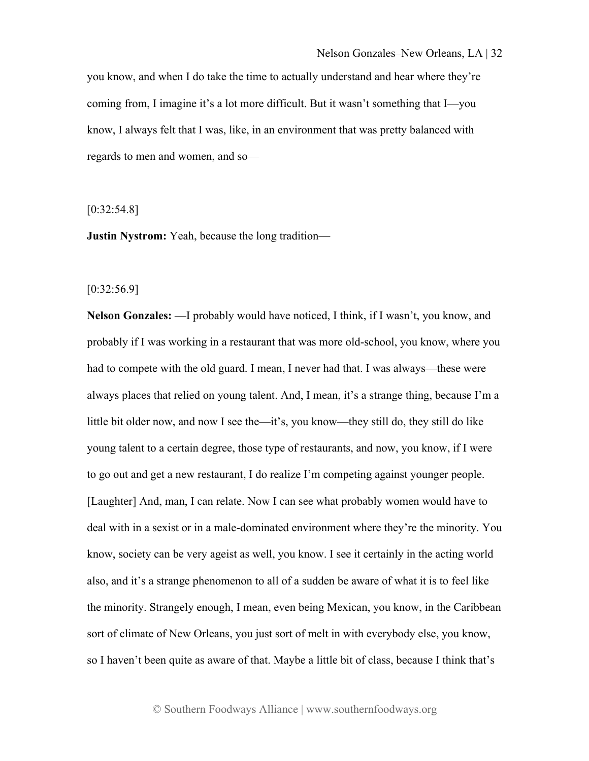you know, and when I do take the time to actually understand and hear where they're coming from, I imagine it's a lot more difficult. But it wasn't something that I—you know, I always felt that I was, like, in an environment that was pretty balanced with regards to men and women, and so—

[0:32:54.8]

**Justin Nystrom:** Yeah, because the long tradition—

[0:32:56.9]

**Nelson Gonzales:** —I probably would have noticed, I think, if I wasn't, you know, and probably if I was working in a restaurant that was more old-school, you know, where you had to compete with the old guard. I mean, I never had that. I was always—these were always places that relied on young talent. And, I mean, it's a strange thing, because I'm a little bit older now, and now I see the—it's, you know—they still do, they still do like young talent to a certain degree, those type of restaurants, and now, you know, if I were to go out and get a new restaurant, I do realize I'm competing against younger people. [Laughter] And, man, I can relate. Now I can see what probably women would have to deal with in a sexist or in a male-dominated environment where they're the minority. You know, society can be very ageist as well, you know. I see it certainly in the acting world also, and it's a strange phenomenon to all of a sudden be aware of what it is to feel like the minority. Strangely enough, I mean, even being Mexican, you know, in the Caribbean sort of climate of New Orleans, you just sort of melt in with everybody else, you know, so I haven't been quite as aware of that. Maybe a little bit of class, because I think that's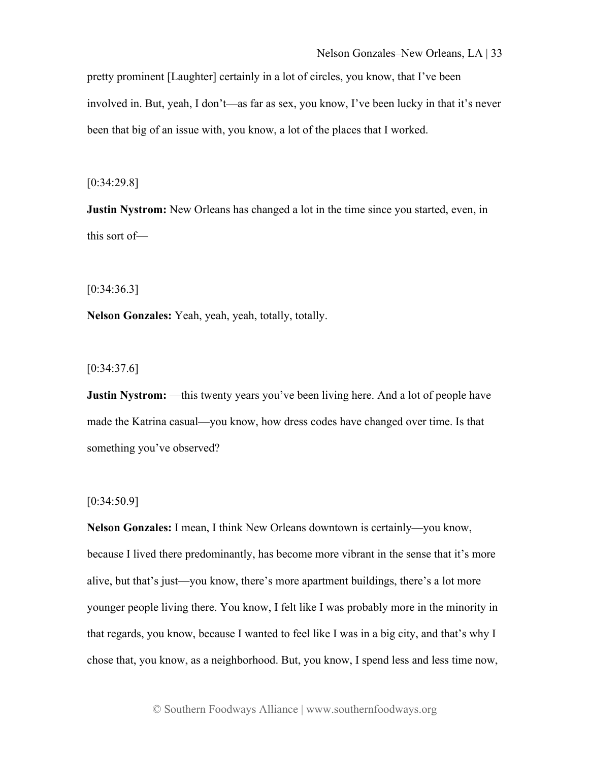pretty prominent [Laughter] certainly in a lot of circles, you know, that I've been involved in. But, yeah, I don't—as far as sex, you know, I've been lucky in that it's never been that big of an issue with, you know, a lot of the places that I worked.

[0:34:29.8]

**Justin Nystrom:** New Orleans has changed a lot in the time since you started, even, in this sort of—

[0:34:36.3]

**Nelson Gonzales:** Yeah, yeah, yeah, totally, totally.

 $[0:34:37.6]$ 

**Justin Nystrom:** —this twenty years you've been living here. And a lot of people have made the Katrina casual—you know, how dress codes have changed over time. Is that something you've observed?

## [0:34:50.9]

**Nelson Gonzales:** I mean, I think New Orleans downtown is certainly—you know, because I lived there predominantly, has become more vibrant in the sense that it's more alive, but that's just—you know, there's more apartment buildings, there's a lot more younger people living there. You know, I felt like I was probably more in the minority in that regards, you know, because I wanted to feel like I was in a big city, and that's why I chose that, you know, as a neighborhood. But, you know, I spend less and less time now,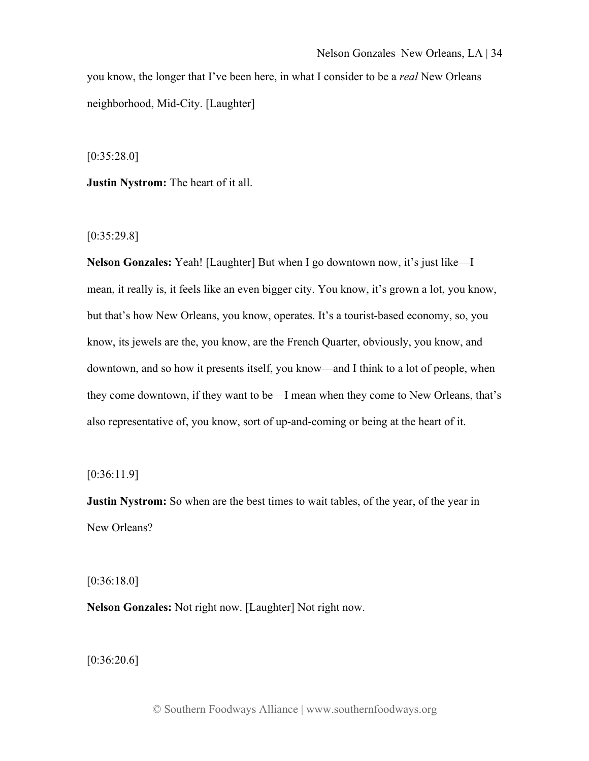you know, the longer that I've been here, in what I consider to be a *real* New Orleans neighborhood, Mid-City. [Laughter]

[0:35:28.0]

**Justin Nystrom:** The heart of it all.

[0:35:29.8]

**Nelson Gonzales:** Yeah! [Laughter] But when I go downtown now, it's just like—I mean, it really is, it feels like an even bigger city. You know, it's grown a lot, you know, but that's how New Orleans, you know, operates. It's a tourist-based economy, so, you know, its jewels are the, you know, are the French Quarter, obviously, you know, and downtown, and so how it presents itself, you know—and I think to a lot of people, when they come downtown, if they want to be—I mean when they come to New Orleans, that's also representative of, you know, sort of up-and-coming or being at the heart of it.

[0:36:11.9]

**Justin Nystrom:** So when are the best times to wait tables, of the year, of the year in New Orleans?

[0:36:18.0]

**Nelson Gonzales:** Not right now. [Laughter] Not right now.

[0:36:20.6]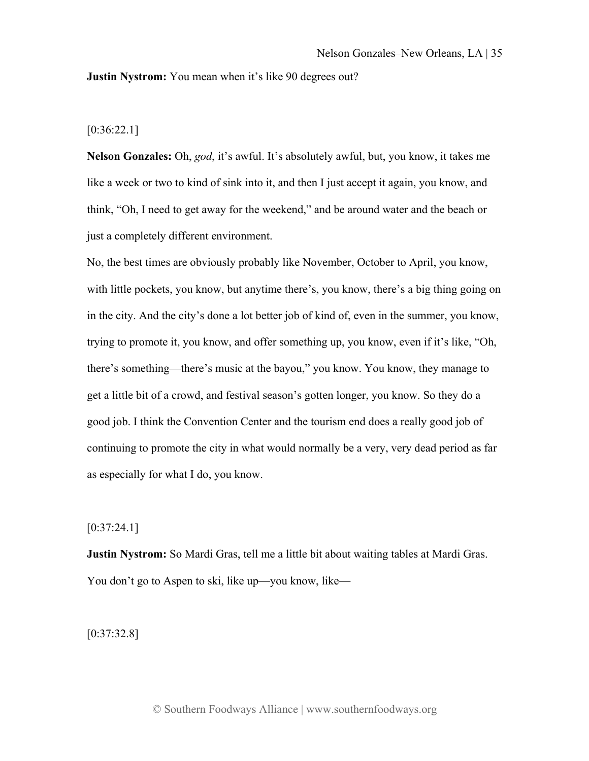**Justin Nystrom:** You mean when it's like 90 degrees out?

[0:36:22.1]

**Nelson Gonzales:** Oh, *god*, it's awful. It's absolutely awful, but, you know, it takes me like a week or two to kind of sink into it, and then I just accept it again, you know, and think, "Oh, I need to get away for the weekend," and be around water and the beach or just a completely different environment.

No, the best times are obviously probably like November, October to April, you know, with little pockets, you know, but anytime there's, you know, there's a big thing going on in the city. And the city's done a lot better job of kind of, even in the summer, you know, trying to promote it, you know, and offer something up, you know, even if it's like, "Oh, there's something—there's music at the bayou," you know. You know, they manage to get a little bit of a crowd, and festival season's gotten longer, you know. So they do a good job. I think the Convention Center and the tourism end does a really good job of continuing to promote the city in what would normally be a very, very dead period as far as especially for what I do, you know.

[0:37:24.1]

**Justin Nystrom:** So Mardi Gras, tell me a little bit about waiting tables at Mardi Gras. You don't go to Aspen to ski, like up—you know, like—

[0:37:32.8]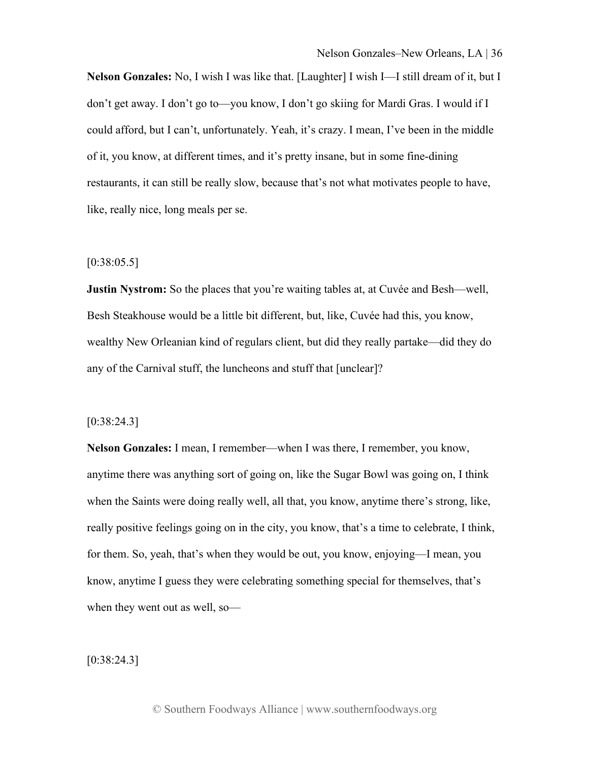**Nelson Gonzales:** No, I wish I was like that. [Laughter] I wish I—I still dream of it, but I don't get away. I don't go to—you know, I don't go skiing for Mardi Gras. I would if I could afford, but I can't, unfortunately. Yeah, it's crazy. I mean, I've been in the middle of it, you know, at different times, and it's pretty insane, but in some fine-dining restaurants, it can still be really slow, because that's not what motivates people to have, like, really nice, long meals per se.

## [0:38:05.5]

**Justin Nystrom:** So the places that you're waiting tables at, at Cuvée and Besh—well, Besh Steakhouse would be a little bit different, but, like, Cuvée had this, you know, wealthy New Orleanian kind of regulars client, but did they really partake—did they do any of the Carnival stuff, the luncheons and stuff that [unclear]?

#### [0:38:24.3]

**Nelson Gonzales:** I mean, I remember—when I was there, I remember, you know, anytime there was anything sort of going on, like the Sugar Bowl was going on, I think when the Saints were doing really well, all that, you know, anytime there's strong, like, really positive feelings going on in the city, you know, that's a time to celebrate, I think, for them. So, yeah, that's when they would be out, you know, enjoying—I mean, you know, anytime I guess they were celebrating something special for themselves, that's when they went out as well, so—

[0:38:24.3]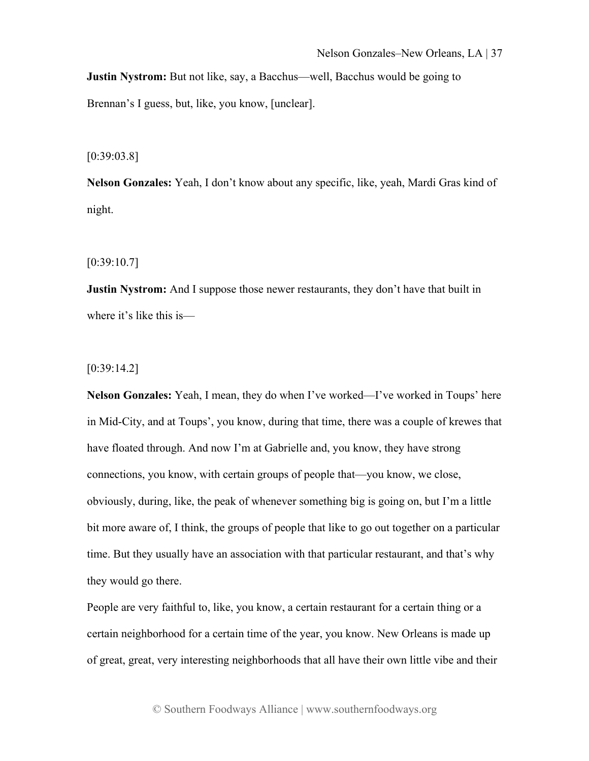**Justin Nystrom:** But not like, say, a Bacchus—well, Bacchus would be going to Brennan's I guess, but, like, you know, [unclear].

[0:39:03.8]

**Nelson Gonzales:** Yeah, I don't know about any specific, like, yeah, Mardi Gras kind of night.

[0:39:10.7]

**Justin Nystrom:** And I suppose those newer restaurants, they don't have that built in where it's like this is—

[0:39:14.2]

**Nelson Gonzales:** Yeah, I mean, they do when I've worked—I've worked in Toups' here in Mid-City, and at Toups', you know, during that time, there was a couple of krewes that have floated through. And now I'm at Gabrielle and, you know, they have strong connections, you know, with certain groups of people that—you know, we close, obviously, during, like, the peak of whenever something big is going on, but I'm a little bit more aware of, I think, the groups of people that like to go out together on a particular time. But they usually have an association with that particular restaurant, and that's why they would go there.

People are very faithful to, like, you know, a certain restaurant for a certain thing or a certain neighborhood for a certain time of the year, you know. New Orleans is made up of great, great, very interesting neighborhoods that all have their own little vibe and their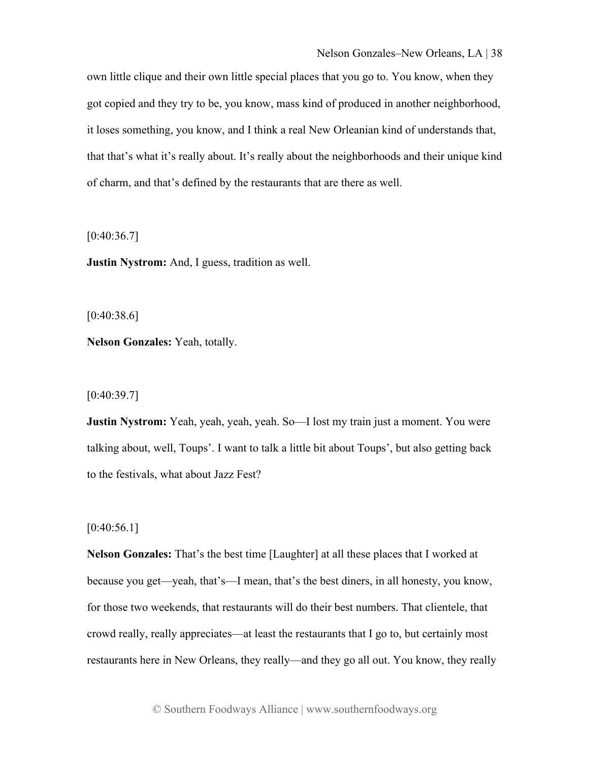own little clique and their own little special places that you go to. You know, when they got copied and they try to be, you know, mass kind of produced in another neighborhood, it loses something, you know, and I think a real New Orleanian kind of understands that, that that's what it's really about. It's really about the neighborhoods and their unique kind of charm, and that's defined by the restaurants that are there as well.

 $[0:40:36.7]$ 

**Justin Nystrom:** And, I guess, tradition as well.

 $[0:40:38.6]$ 

**Nelson Gonzales:** Yeah, totally.

 $[0:40:39.7]$ 

**Justin Nystrom:** Yeah, yeah, yeah, yeah. So—I lost my train just a moment. You were talking about, well, Toups'. I want to talk a little bit about Toups', but also getting back to the festivals, what about Jazz Fest?

 $[0:40:56.1]$ 

**Nelson Gonzales:** That's the best time [Laughter] at all these places that I worked at because you get—yeah, that's—I mean, that's the best diners, in all honesty, you know, for those two weekends, that restaurants will do their best numbers. That clientele, that crowd really, really appreciates—at least the restaurants that I go to, but certainly most restaurants here in New Orleans, they really—and they go all out. You know, they really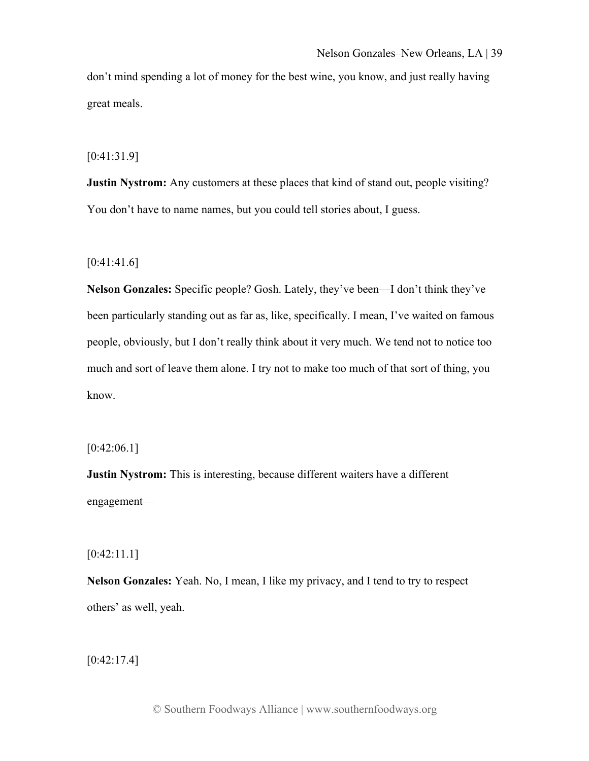don't mind spending a lot of money for the best wine, you know, and just really having great meals.

[0:41:31.9]

**Justin Nystrom:** Any customers at these places that kind of stand out, people visiting? You don't have to name names, but you could tell stories about, I guess.

[0:41:41.6]

**Nelson Gonzales:** Specific people? Gosh. Lately, they've been—I don't think they've been particularly standing out as far as, like, specifically. I mean, I've waited on famous people, obviously, but I don't really think about it very much. We tend not to notice too much and sort of leave them alone. I try not to make too much of that sort of thing, you know.

 $[0:42:06.1]$ 

**Justin Nystrom:** This is interesting, because different waiters have a different engagement—

[0:42:11.1]

**Nelson Gonzales:** Yeah. No, I mean, I like my privacy, and I tend to try to respect others' as well, yeah.

 $[0:42:17.4]$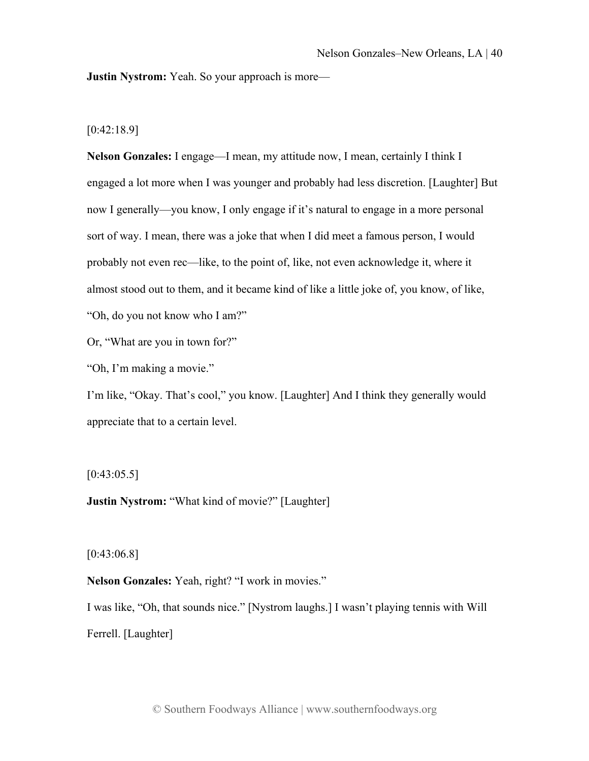**Justin Nystrom:** Yeah. So your approach is more—

[0:42:18.9]

**Nelson Gonzales:** I engage—I mean, my attitude now, I mean, certainly I think I engaged a lot more when I was younger and probably had less discretion. [Laughter] But now I generally—you know, I only engage if it's natural to engage in a more personal sort of way. I mean, there was a joke that when I did meet a famous person, I would probably not even rec—like, to the point of, like, not even acknowledge it, where it almost stood out to them, and it became kind of like a little joke of, you know, of like, "Oh, do you not know who I am?"

Or, "What are you in town for?"

"Oh, I'm making a movie."

I'm like, "Okay. That's cool," you know. [Laughter] And I think they generally would appreciate that to a certain level.

 $[0:43:05.5]$ 

**Justin Nystrom:** "What kind of movie?" [Laughter]

[0:43:06.8]

**Nelson Gonzales:** Yeah, right? "I work in movies."

I was like, "Oh, that sounds nice." [Nystrom laughs.] I wasn't playing tennis with Will Ferrell. [Laughter]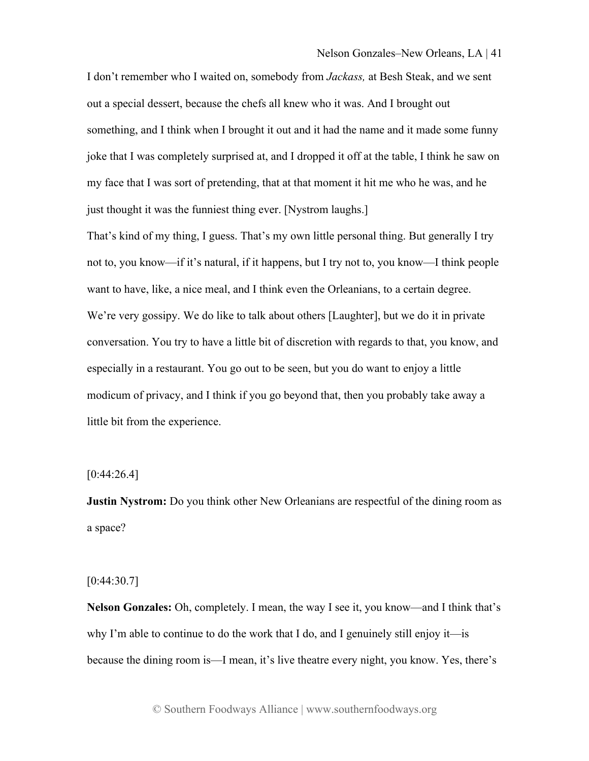I don't remember who I waited on, somebody from *Jackass,* at Besh Steak, and we sent out a special dessert, because the chefs all knew who it was. And I brought out something, and I think when I brought it out and it had the name and it made some funny joke that I was completely surprised at, and I dropped it off at the table, I think he saw on my face that I was sort of pretending, that at that moment it hit me who he was, and he just thought it was the funniest thing ever. [Nystrom laughs.]

That's kind of my thing, I guess. That's my own little personal thing. But generally I try not to, you know—if it's natural, if it happens, but I try not to, you know—I think people want to have, like, a nice meal, and I think even the Orleanians, to a certain degree. We're very gossipy. We do like to talk about others [Laughter], but we do it in private conversation. You try to have a little bit of discretion with regards to that, you know, and especially in a restaurant. You go out to be seen, but you do want to enjoy a little modicum of privacy, and I think if you go beyond that, then you probably take away a little bit from the experience.

## $[0:44:26.4]$

**Justin Nystrom:** Do you think other New Orleanians are respectful of the dining room as a space?

## $[0:44:30.7]$

**Nelson Gonzales:** Oh, completely. I mean, the way I see it, you know—and I think that's why I'm able to continue to do the work that I do, and I genuinely still enjoy it—is because the dining room is—I mean, it's live theatre every night, you know. Yes, there's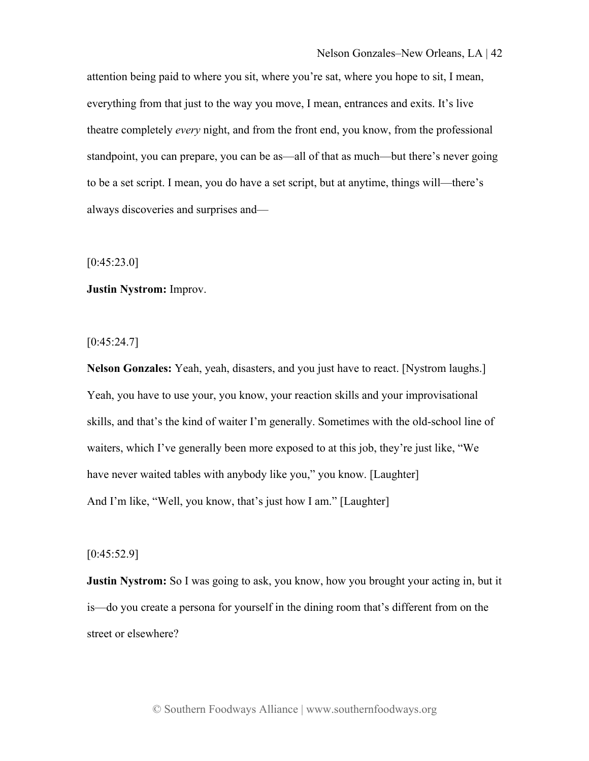attention being paid to where you sit, where you're sat, where you hope to sit, I mean, everything from that just to the way you move, I mean, entrances and exits. It's live theatre completely *every* night, and from the front end, you know, from the professional standpoint, you can prepare, you can be as—all of that as much—but there's never going to be a set script. I mean, you do have a set script, but at anytime, things will—there's always discoveries and surprises and—

 $[0:45:23.0]$ 

**Justin Nystrom:** Improv.

 $[0:45:24.7]$ 

**Nelson Gonzales:** Yeah, yeah, disasters, and you just have to react. [Nystrom laughs.] Yeah, you have to use your, you know, your reaction skills and your improvisational skills, and that's the kind of waiter I'm generally. Sometimes with the old-school line of waiters, which I've generally been more exposed to at this job, they're just like, "We have never waited tables with anybody like you," you know. [Laughter] And I'm like, "Well, you know, that's just how I am." [Laughter]

[0:45:52.9]

**Justin Nystrom:** So I was going to ask, you know, how you brought your acting in, but it is—do you create a persona for yourself in the dining room that's different from on the street or elsewhere?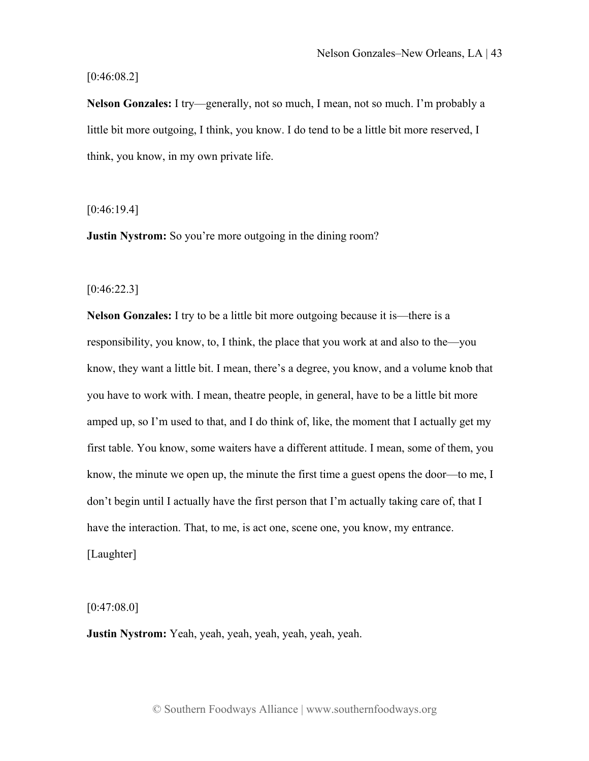## $[0:46:08.2]$

**Nelson Gonzales:** I try—generally, not so much, I mean, not so much. I'm probably a little bit more outgoing, I think, you know. I do tend to be a little bit more reserved, I think, you know, in my own private life.

[0:46:19.4]

**Justin Nystrom:** So you're more outgoing in the dining room?

 $[0:46:22.3]$ 

**Nelson Gonzales:** I try to be a little bit more outgoing because it is—there is a responsibility, you know, to, I think, the place that you work at and also to the—you know, they want a little bit. I mean, there's a degree, you know, and a volume knob that you have to work with. I mean, theatre people, in general, have to be a little bit more amped up, so I'm used to that, and I do think of, like, the moment that I actually get my first table. You know, some waiters have a different attitude. I mean, some of them, you know, the minute we open up, the minute the first time a guest opens the door—to me, I don't begin until I actually have the first person that I'm actually taking care of, that I have the interaction. That, to me, is act one, scene one, you know, my entrance. [Laughter]

 $[0:47:08.0]$ 

**Justin Nystrom:** Yeah, yeah, yeah, yeah, yeah, yeah, yeah.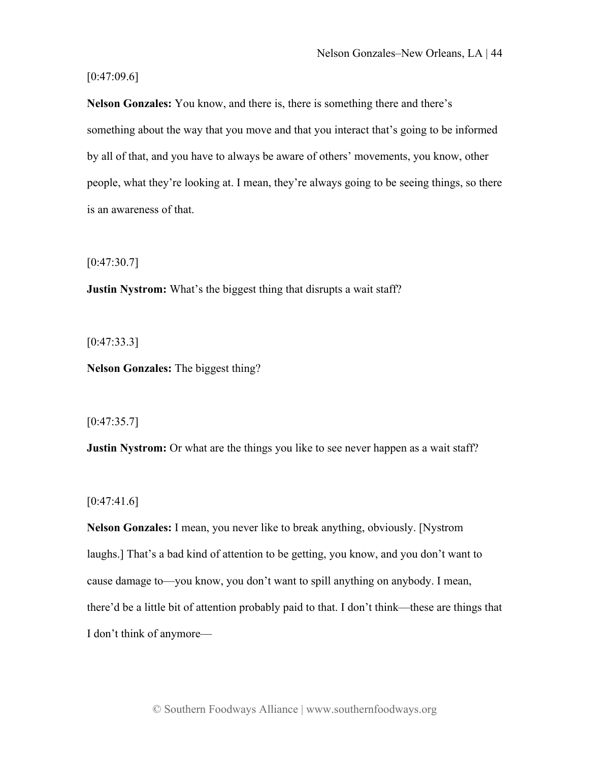$[0:47:09.6]$ 

**Nelson Gonzales:** You know, and there is, there is something there and there's something about the way that you move and that you interact that's going to be informed by all of that, and you have to always be aware of others' movements, you know, other people, what they're looking at. I mean, they're always going to be seeing things, so there is an awareness of that.

[0:47:30.7]

**Justin Nystrom:** What's the biggest thing that disrupts a wait staff?

[0:47:33.3]

**Nelson Gonzales:** The biggest thing?

[0:47:35.7]

**Justin Nystrom:** Or what are the things you like to see never happen as a wait staff?

 $[0:47:41.6]$ 

**Nelson Gonzales:** I mean, you never like to break anything, obviously. [Nystrom laughs.] That's a bad kind of attention to be getting, you know, and you don't want to cause damage to—you know, you don't want to spill anything on anybody. I mean, there'd be a little bit of attention probably paid to that. I don't think—these are things that I don't think of anymore—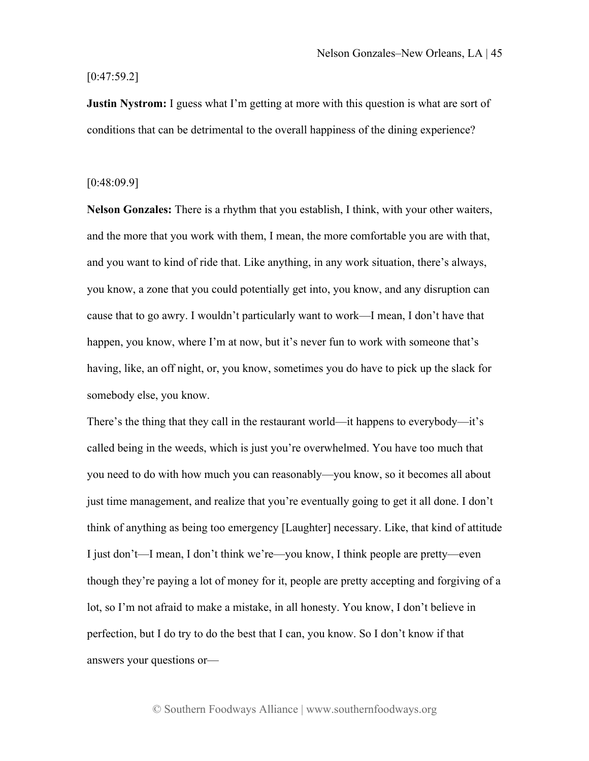## [0:47:59.2]

**Justin Nystrom:** I guess what I'm getting at more with this question is what are sort of conditions that can be detrimental to the overall happiness of the dining experience?

#### [0:48:09.9]

**Nelson Gonzales:** There is a rhythm that you establish, I think, with your other waiters, and the more that you work with them, I mean, the more comfortable you are with that, and you want to kind of ride that. Like anything, in any work situation, there's always, you know, a zone that you could potentially get into, you know, and any disruption can cause that to go awry. I wouldn't particularly want to work—I mean, I don't have that happen, you know, where I'm at now, but it's never fun to work with someone that's having, like, an off night, or, you know, sometimes you do have to pick up the slack for somebody else, you know.

There's the thing that they call in the restaurant world—it happens to everybody—it's called being in the weeds, which is just you're overwhelmed. You have too much that you need to do with how much you can reasonably—you know, so it becomes all about just time management, and realize that you're eventually going to get it all done. I don't think of anything as being too emergency [Laughter] necessary. Like, that kind of attitude I just don't—I mean, I don't think we're—you know, I think people are pretty—even though they're paying a lot of money for it, people are pretty accepting and forgiving of a lot, so I'm not afraid to make a mistake, in all honesty. You know, I don't believe in perfection, but I do try to do the best that I can, you know. So I don't know if that answers your questions or—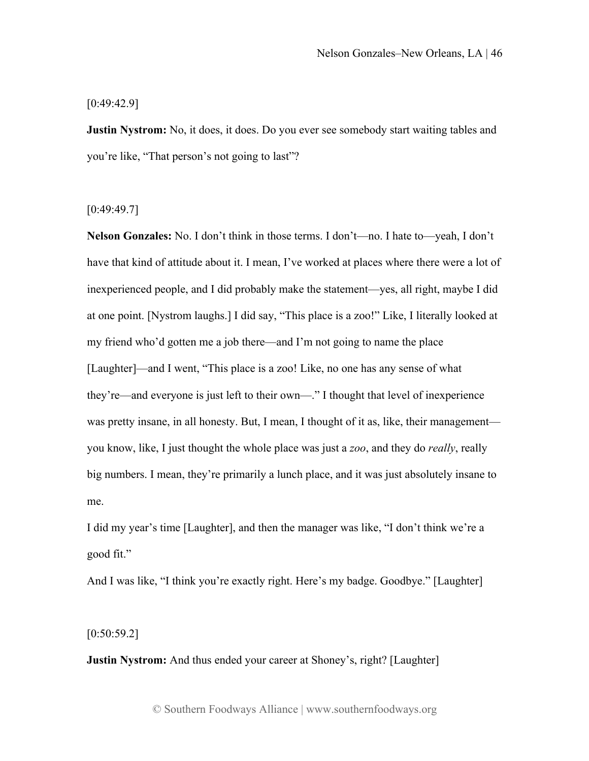#### [0:49:42.9]

**Justin Nystrom:** No, it does, it does. Do you ever see somebody start waiting tables and you're like, "That person's not going to last"?

[0:49:49.7]

**Nelson Gonzales:** No. I don't think in those terms. I don't—no. I hate to—yeah, I don't have that kind of attitude about it. I mean, I've worked at places where there were a lot of inexperienced people, and I did probably make the statement—yes, all right, maybe I did at one point. [Nystrom laughs.] I did say, "This place is a zoo!" Like, I literally looked at my friend who'd gotten me a job there—and I'm not going to name the place [Laughter]—and I went, "This place is a zoo! Like, no one has any sense of what they're—and everyone is just left to their own—." I thought that level of inexperience was pretty insane, in all honesty. But, I mean, I thought of it as, like, their management you know, like, I just thought the whole place was just a *zoo*, and they do *really*, really big numbers. I mean, they're primarily a lunch place, and it was just absolutely insane to me.

I did my year's time [Laughter], and then the manager was like, "I don't think we're a good fit."

And I was like, "I think you're exactly right. Here's my badge. Goodbye." [Laughter]

 $[0:50:59.2]$ 

**Justin Nystrom:** And thus ended your career at Shoney's, right? [Laughter]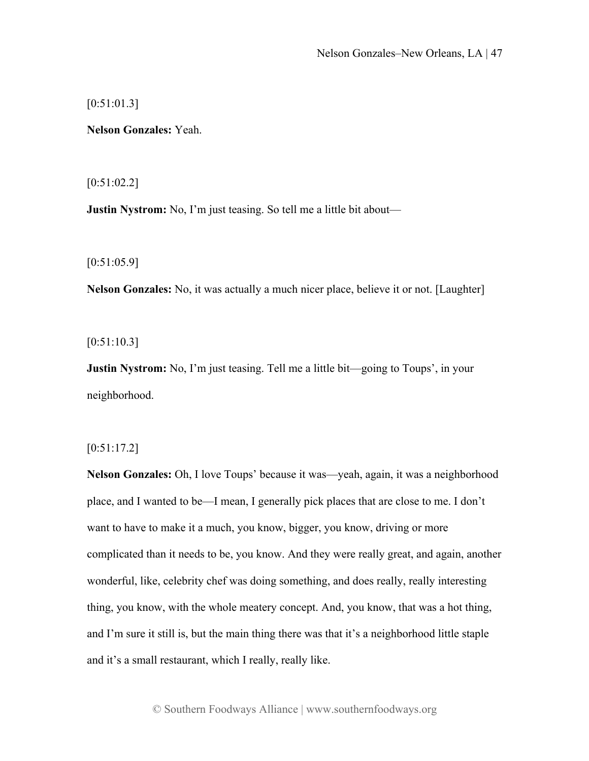$[0:51:01.3]$ 

**Nelson Gonzales:** Yeah.

[0:51:02.2]

**Justin Nystrom:** No, I'm just teasing. So tell me a little bit about—

[0:51:05.9]

**Nelson Gonzales:** No, it was actually a much nicer place, believe it or not. [Laughter]

[0:51:10.3]

**Justin Nystrom:** No, I'm just teasing. Tell me a little bit—going to Toups', in your neighborhood.

[0:51:17.2]

**Nelson Gonzales:** Oh, I love Toups' because it was—yeah, again, it was a neighborhood place, and I wanted to be—I mean, I generally pick places that are close to me. I don't want to have to make it a much, you know, bigger, you know, driving or more complicated than it needs to be, you know. And they were really great, and again, another wonderful, like, celebrity chef was doing something, and does really, really interesting thing, you know, with the whole meatery concept. And, you know, that was a hot thing, and I'm sure it still is, but the main thing there was that it's a neighborhood little staple and it's a small restaurant, which I really, really like.

© Southern Foodways Alliance | www.southernfoodways.org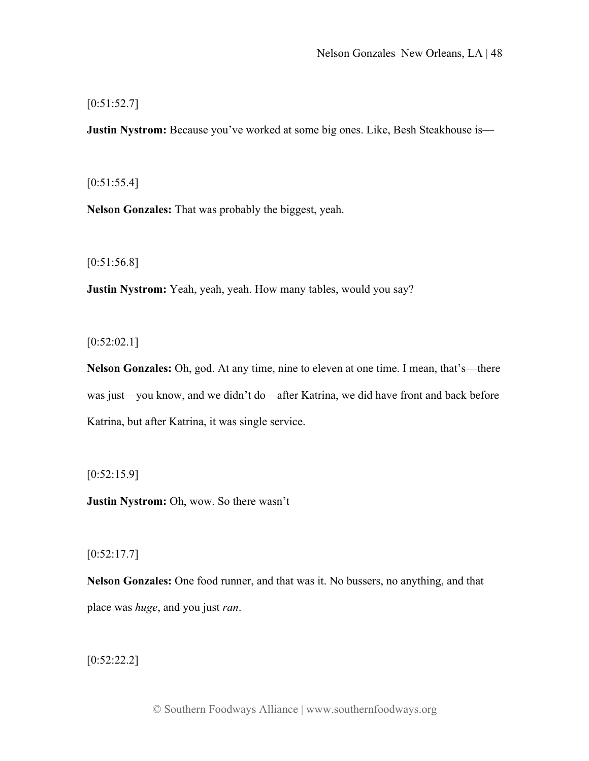[0:51:52.7]

**Justin Nystrom:** Because you've worked at some big ones. Like, Besh Steakhouse is—

 $[0:51:55.4]$ 

**Nelson Gonzales:** That was probably the biggest, yeah.

[0:51:56.8]

**Justin Nystrom:** Yeah, yeah, yeah. How many tables, would you say?

 $[0:52:02.1]$ 

**Nelson Gonzales:** Oh, god. At any time, nine to eleven at one time. I mean, that's—there was just—you know, and we didn't do—after Katrina, we did have front and back before Katrina, but after Katrina, it was single service.

 $[0:52:15.9]$ 

**Justin Nystrom:** Oh, wow. So there wasn't—

 $[0:52:17.7]$ 

**Nelson Gonzales:** One food runner, and that was it. No bussers, no anything, and that place was *huge*, and you just *ran*.

[0:52:22.2]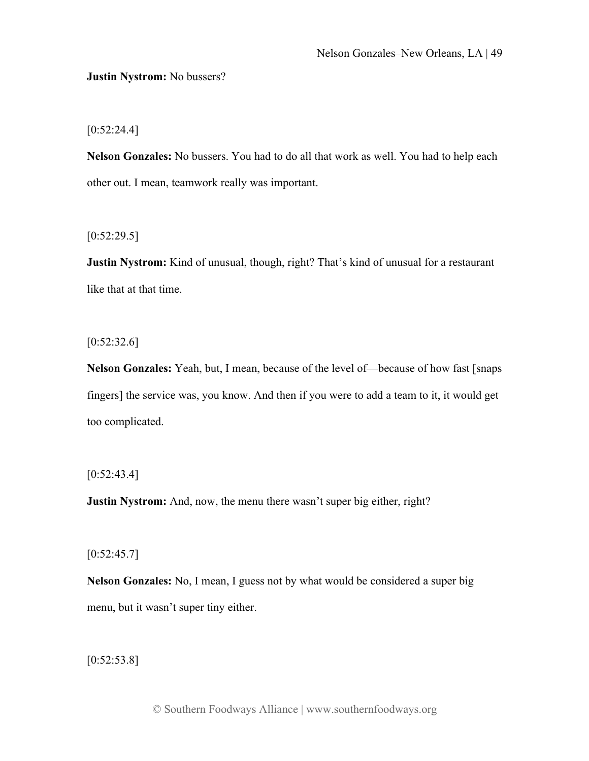# **Justin Nystrom:** No bussers?

 $[0:52:24.4]$ 

**Nelson Gonzales:** No bussers. You had to do all that work as well. You had to help each other out. I mean, teamwork really was important.

 $[0:52:29.5]$ 

**Justin Nystrom:** Kind of unusual, though, right? That's kind of unusual for a restaurant like that at that time.

 $[0:52:32.6]$ 

**Nelson Gonzales:** Yeah, but, I mean, because of the level of—because of how fast [snaps fingers] the service was, you know. And then if you were to add a team to it, it would get too complicated.

[0:52:43.4]

**Justin Nystrom:** And, now, the menu there wasn't super big either, right?

 $[0:52:45.7]$ 

**Nelson Gonzales:** No, I mean, I guess not by what would be considered a super big menu, but it wasn't super tiny either.

 $[0:52:53.8]$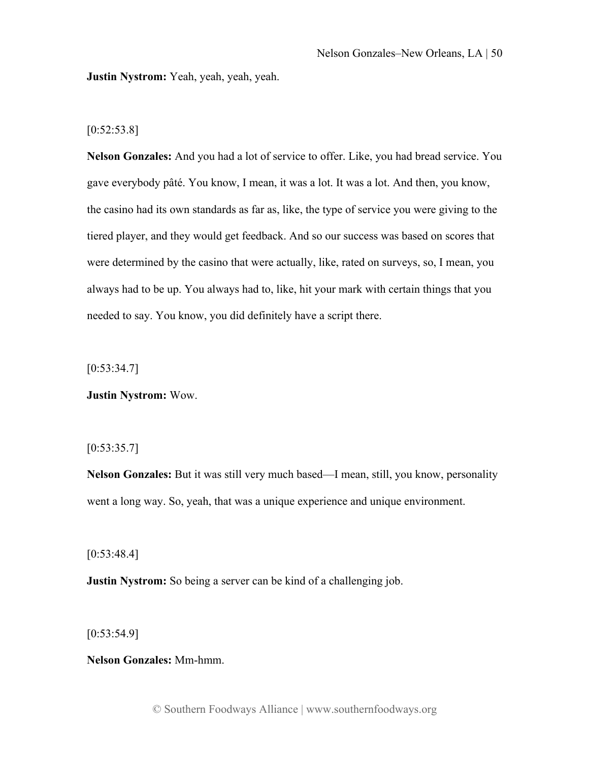**Justin Nystrom:** Yeah, yeah, yeah, yeah.

## $[0:52:53.8]$

**Nelson Gonzales:** And you had a lot of service to offer. Like, you had bread service. You gave everybody pâté. You know, I mean, it was a lot. It was a lot. And then, you know, the casino had its own standards as far as, like, the type of service you were giving to the tiered player, and they would get feedback. And so our success was based on scores that were determined by the casino that were actually, like, rated on surveys, so, I mean, you always had to be up. You always had to, like, hit your mark with certain things that you needed to say. You know, you did definitely have a script there.

 $[0:53:34.7]$ 

**Justin Nystrom:** Wow.

## [0:53:35.7]

**Nelson Gonzales:** But it was still very much based—I mean, still, you know, personality went a long way. So, yeah, that was a unique experience and unique environment.

[0:53:48.4]

**Justin Nystrom:** So being a server can be kind of a challenging job.

 $[0:53:54.9]$ 

## **Nelson Gonzales:** Mm-hmm.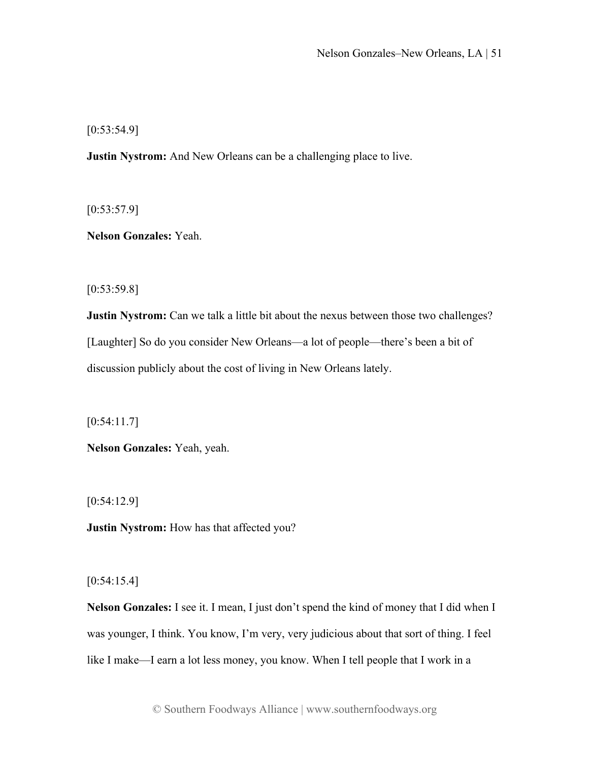[0:53:54.9]

**Justin Nystrom:** And New Orleans can be a challenging place to live.

 $[0:53:57.9]$ 

**Nelson Gonzales:** Yeah.

 $[0:53:59.8]$ 

**Justin Nystrom:** Can we talk a little bit about the nexus between those two challenges? [Laughter] So do you consider New Orleans—a lot of people—there's been a bit of discussion publicly about the cost of living in New Orleans lately.

 $[0:54:11.7]$ 

**Nelson Gonzales:** Yeah, yeah.

[0:54:12.9]

**Justin Nystrom:** How has that affected you?

[0:54:15.4]

**Nelson Gonzales:** I see it. I mean, I just don't spend the kind of money that I did when I was younger, I think. You know, I'm very, very judicious about that sort of thing. I feel like I make—I earn a lot less money, you know. When I tell people that I work in a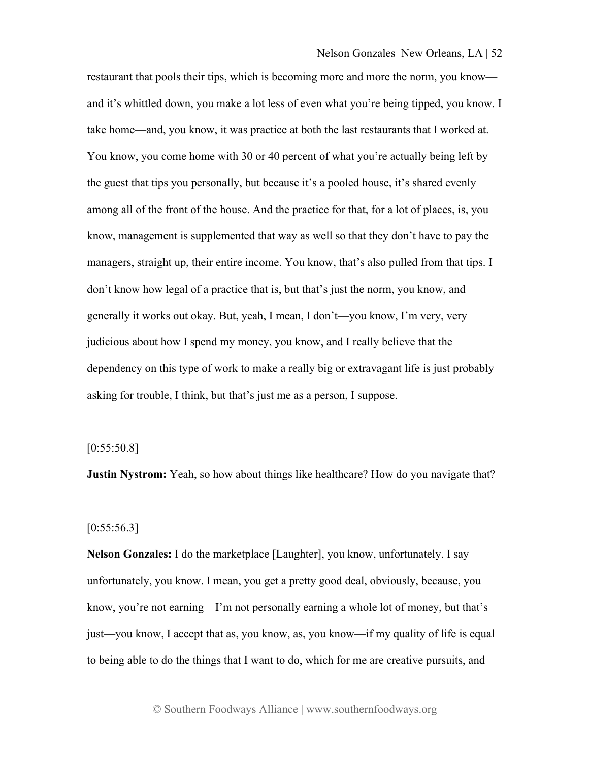restaurant that pools their tips, which is becoming more and more the norm, you know and it's whittled down, you make a lot less of even what you're being tipped, you know. I take home—and, you know, it was practice at both the last restaurants that I worked at. You know, you come home with 30 or 40 percent of what you're actually being left by the guest that tips you personally, but because it's a pooled house, it's shared evenly among all of the front of the house. And the practice for that, for a lot of places, is, you know, management is supplemented that way as well so that they don't have to pay the managers, straight up, their entire income. You know, that's also pulled from that tips. I don't know how legal of a practice that is, but that's just the norm, you know, and generally it works out okay. But, yeah, I mean, I don't—you know, I'm very, very judicious about how I spend my money, you know, and I really believe that the dependency on this type of work to make a really big or extravagant life is just probably asking for trouble, I think, but that's just me as a person, I suppose.

## [0:55:50.8]

**Justin Nystrom:** Yeah, so how about things like healthcare? How do you navigate that?

#### $[0:55:56.3]$

**Nelson Gonzales:** I do the marketplace [Laughter], you know, unfortunately. I say unfortunately, you know. I mean, you get a pretty good deal, obviously, because, you know, you're not earning—I'm not personally earning a whole lot of money, but that's just—you know, I accept that as, you know, as, you know—if my quality of life is equal to being able to do the things that I want to do, which for me are creative pursuits, and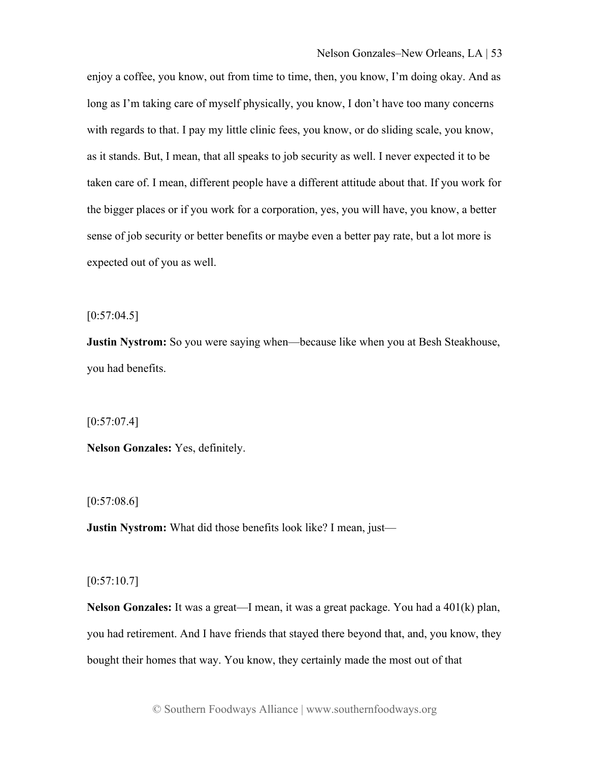enjoy a coffee, you know, out from time to time, then, you know, I'm doing okay. And as long as I'm taking care of myself physically, you know, I don't have too many concerns with regards to that. I pay my little clinic fees, you know, or do sliding scale, you know, as it stands. But, I mean, that all speaks to job security as well. I never expected it to be taken care of. I mean, different people have a different attitude about that. If you work for the bigger places or if you work for a corporation, yes, you will have, you know, a better sense of job security or better benefits or maybe even a better pay rate, but a lot more is expected out of you as well.

 $[0:57:04.5]$ 

**Justin Nystrom:** So you were saying when—because like when you at Besh Steakhouse, you had benefits.

 $[0:57:07.4]$ 

**Nelson Gonzales:** Yes, definitely.

 $[0:57:08.6]$ 

**Justin Nystrom:** What did those benefits look like? I mean, just—

 $[0:57:10.7]$ 

**Nelson Gonzales:** It was a great—I mean, it was a great package. You had a 401(k) plan, you had retirement. And I have friends that stayed there beyond that, and, you know, they bought their homes that way. You know, they certainly made the most out of that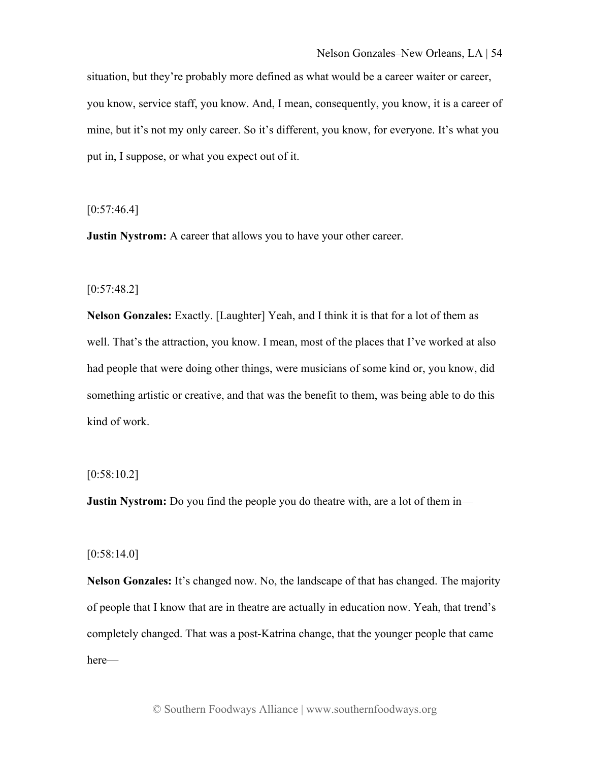situation, but they're probably more defined as what would be a career waiter or career, you know, service staff, you know. And, I mean, consequently, you know, it is a career of mine, but it's not my only career. So it's different, you know, for everyone. It's what you put in, I suppose, or what you expect out of it.

 $[0:57:46.4]$ 

**Justin Nystrom:** A career that allows you to have your other career.

 $[0:57:48.2]$ 

**Nelson Gonzales:** Exactly. [Laughter] Yeah, and I think it is that for a lot of them as well. That's the attraction, you know. I mean, most of the places that I've worked at also had people that were doing other things, were musicians of some kind or, you know, did something artistic or creative, and that was the benefit to them, was being able to do this kind of work.

[0:58:10.2]

**Justin Nystrom:** Do you find the people you do theatre with, are a lot of them in—

 $[0:58:14.0]$ 

**Nelson Gonzales:** It's changed now. No, the landscape of that has changed. The majority of people that I know that are in theatre are actually in education now. Yeah, that trend's completely changed. That was a post-Katrina change, that the younger people that came here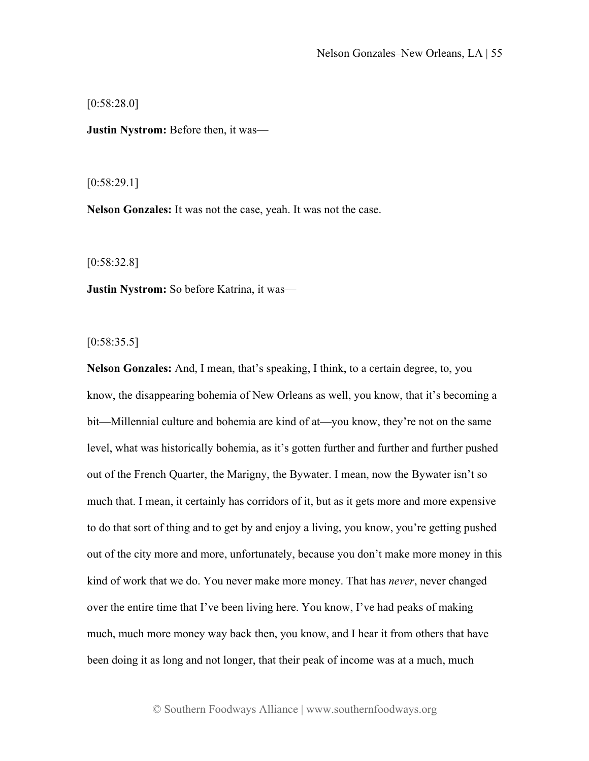[0:58:28.0]

**Justin Nystrom:** Before then, it was—

[0:58:29.1]

**Nelson Gonzales:** It was not the case, yeah. It was not the case.

[0:58:32.8]

**Justin Nystrom:** So before Katrina, it was—

 $[0:58:35.5]$ 

**Nelson Gonzales:** And, I mean, that's speaking, I think, to a certain degree, to, you know, the disappearing bohemia of New Orleans as well, you know, that it's becoming a bit—Millennial culture and bohemia are kind of at—you know, they're not on the same level, what was historically bohemia, as it's gotten further and further and further pushed out of the French Quarter, the Marigny, the Bywater. I mean, now the Bywater isn't so much that. I mean, it certainly has corridors of it, but as it gets more and more expensive to do that sort of thing and to get by and enjoy a living, you know, you're getting pushed out of the city more and more, unfortunately, because you don't make more money in this kind of work that we do. You never make more money. That has *never*, never changed over the entire time that I've been living here. You know, I've had peaks of making much, much more money way back then, you know, and I hear it from others that have been doing it as long and not longer, that their peak of income was at a much, much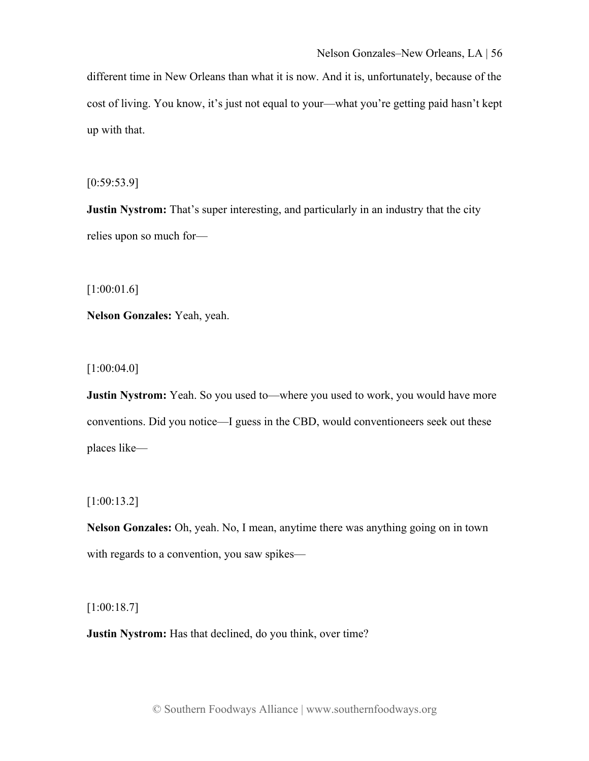different time in New Orleans than what it is now. And it is, unfortunately, because of the cost of living. You know, it's just not equal to your—what you're getting paid hasn't kept up with that.

 $[0:59:53.9]$ 

**Justin Nystrom:** That's super interesting, and particularly in an industry that the city relies upon so much for—

[1:00:01.6]

**Nelson Gonzales:** Yeah, yeah.

[1:00:04.0]

**Justin Nystrom:** Yeah. So you used to—where you used to work, you would have more conventions. Did you notice—I guess in the CBD, would conventioneers seek out these places like—

[1:00:13.2]

**Nelson Gonzales:** Oh, yeah. No, I mean, anytime there was anything going on in town with regards to a convention, you saw spikes—

[1:00:18.7]

**Justin Nystrom:** Has that declined, do you think, over time?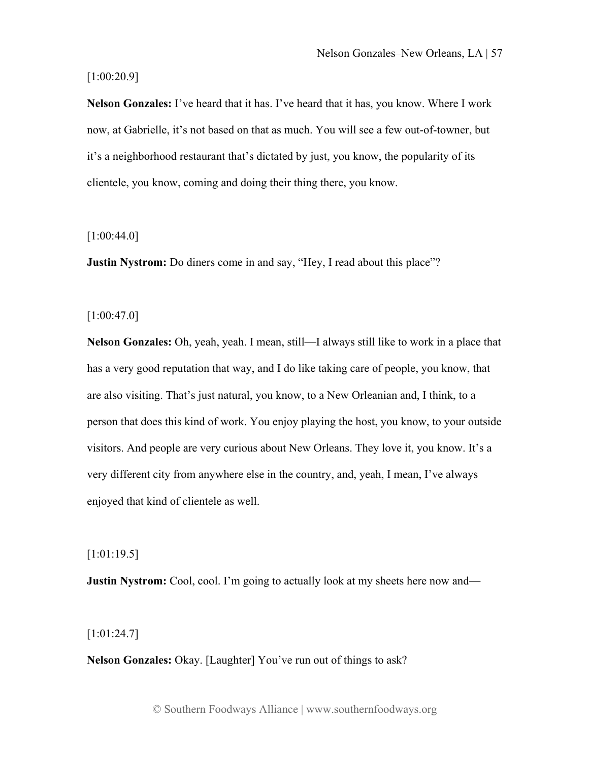[1:00:20.9]

**Nelson Gonzales:** I've heard that it has. I've heard that it has, you know. Where I work now, at Gabrielle, it's not based on that as much. You will see a few out-of-towner, but it's a neighborhood restaurant that's dictated by just, you know, the popularity of its clientele, you know, coming and doing their thing there, you know.

 $[1:00:44.0]$ 

**Justin Nystrom:** Do diners come in and say, "Hey, I read about this place"?

[1:00:47.0]

**Nelson Gonzales:** Oh, yeah, yeah. I mean, still—I always still like to work in a place that has a very good reputation that way, and I do like taking care of people, you know, that are also visiting. That's just natural, you know, to a New Orleanian and, I think, to a person that does this kind of work. You enjoy playing the host, you know, to your outside visitors. And people are very curious about New Orleans. They love it, you know. It's a very different city from anywhere else in the country, and, yeah, I mean, I've always enjoyed that kind of clientele as well.

[1:01:19.5]

**Justin Nystrom:** Cool, cool. I'm going to actually look at my sheets here now and—

[1:01:24.7]

**Nelson Gonzales:** Okay. [Laughter] You've run out of things to ask?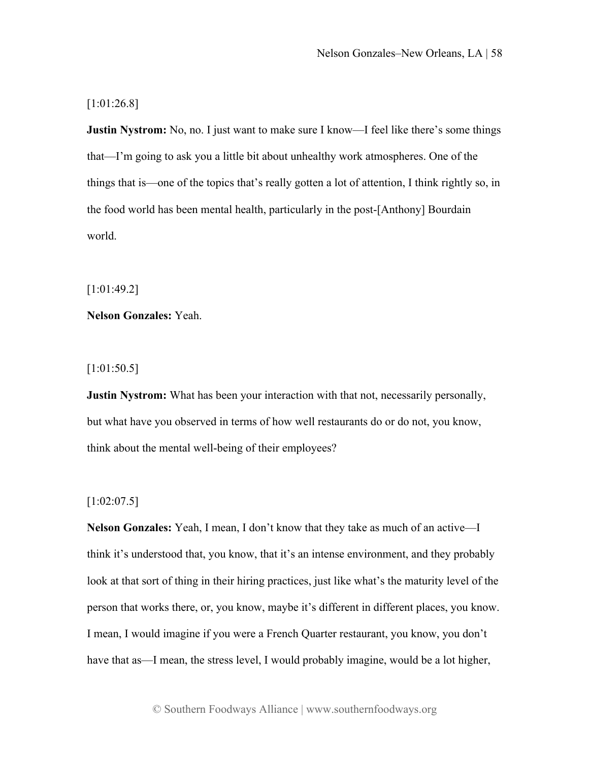## [1:01:26.8]

**Justin Nystrom:** No, no. I just want to make sure I know—I feel like there's some things that—I'm going to ask you a little bit about unhealthy work atmospheres. One of the things that is—one of the topics that's really gotten a lot of attention, I think rightly so, in the food world has been mental health, particularly in the post-[Anthony] Bourdain world.

[1:01:49.2]

## **Nelson Gonzales:** Yeah.

[1:01:50.5]

**Justin Nystrom:** What has been your interaction with that not, necessarily personally, but what have you observed in terms of how well restaurants do or do not, you know, think about the mental well-being of their employees?

## $[1:02:07.5]$

**Nelson Gonzales:** Yeah, I mean, I don't know that they take as much of an active—I think it's understood that, you know, that it's an intense environment, and they probably look at that sort of thing in their hiring practices, just like what's the maturity level of the person that works there, or, you know, maybe it's different in different places, you know. I mean, I would imagine if you were a French Quarter restaurant, you know, you don't have that as—I mean, the stress level, I would probably imagine, would be a lot higher,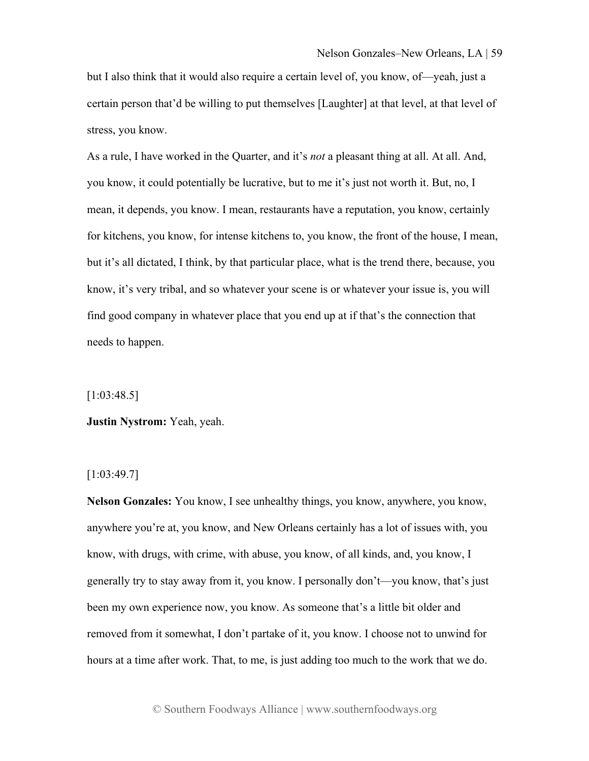but I also think that it would also require a certain level of, you know, of—yeah, just a certain person that'd be willing to put themselves [Laughter] at that level, at that level of stress, you know.

As a rule, I have worked in the Quarter, and it's *not* a pleasant thing at all. At all. And, you know, it could potentially be lucrative, but to me it's just not worth it. But, no, I mean, it depends, you know. I mean, restaurants have a reputation, you know, certainly for kitchens, you know, for intense kitchens to, you know, the front of the house, I mean, but it's all dictated, I think, by that particular place, what is the trend there, because, you know, it's very tribal, and so whatever your scene is or whatever your issue is, you will find good company in whatever place that you end up at if that's the connection that needs to happen.

[1:03:48.5]

**Justin Nystrom:** Yeah, yeah.

### [1:03:49.7]

**Nelson Gonzales:** You know, I see unhealthy things, you know, anywhere, you know, anywhere you're at, you know, and New Orleans certainly has a lot of issues with, you know, with drugs, with crime, with abuse, you know, of all kinds, and, you know, I generally try to stay away from it, you know. I personally don't—you know, that's just been my own experience now, you know. As someone that's a little bit older and removed from it somewhat, I don't partake of it, you know. I choose not to unwind for hours at a time after work. That, to me, is just adding too much to the work that we do.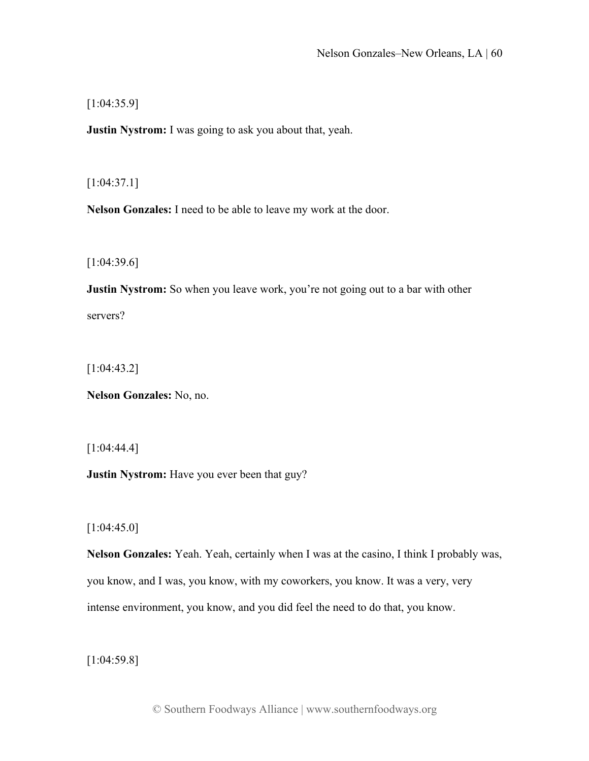[1:04:35.9]

**Justin Nystrom:** I was going to ask you about that, yeah.

[1:04:37.1]

**Nelson Gonzales:** I need to be able to leave my work at the door.

[1:04:39.6]

**Justin Nystrom:** So when you leave work, you're not going out to a bar with other servers?

[1:04:43.2]

**Nelson Gonzales:** No, no.

[1:04:44.4]

**Justin Nystrom:** Have you ever been that guy?

[1:04:45.0]

**Nelson Gonzales:** Yeah. Yeah, certainly when I was at the casino, I think I probably was, you know, and I was, you know, with my coworkers, you know. It was a very, very intense environment, you know, and you did feel the need to do that, you know.

[1:04:59.8]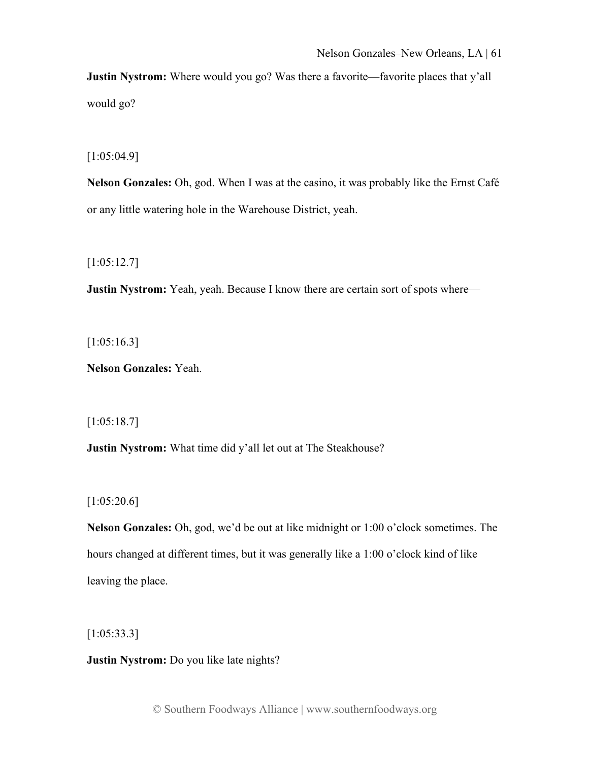**Justin Nystrom:** Where would you go? Was there a favorite—favorite places that y'all would go?

[1:05:04.9]

**Nelson Gonzales:** Oh, god. When I was at the casino, it was probably like the Ernst Café or any little watering hole in the Warehouse District, yeah.

[1:05:12.7]

**Justin Nystrom:** Yeah, yeah. Because I know there are certain sort of spots where—

[1:05:16.3]

**Nelson Gonzales:** Yeah.

[1:05:18.7]

**Justin Nystrom:** What time did y'all let out at The Steakhouse?

[1:05:20.6]

**Nelson Gonzales:** Oh, god, we'd be out at like midnight or 1:00 o'clock sometimes. The hours changed at different times, but it was generally like a 1:00 o'clock kind of like leaving the place.

[1:05:33.3]

**Justin Nystrom:** Do you like late nights?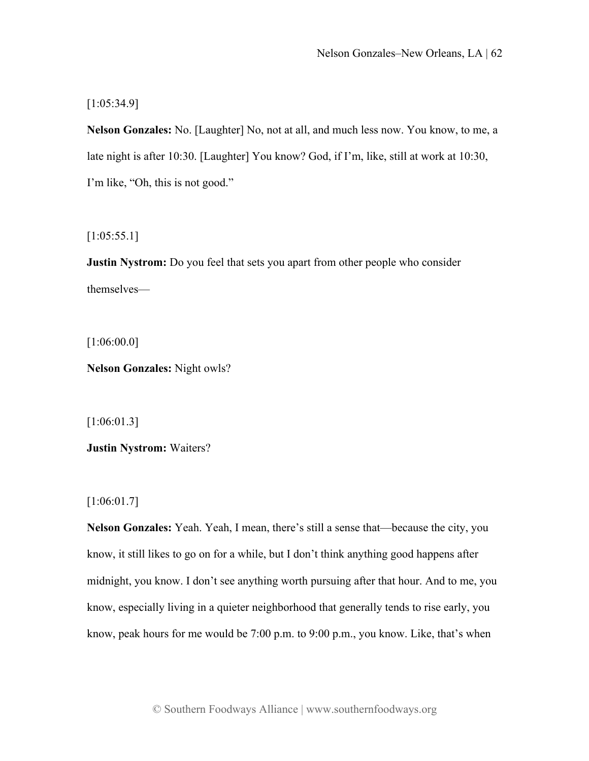# [1:05:34.9]

**Nelson Gonzales:** No. [Laughter] No, not at all, and much less now. You know, to me, a late night is after 10:30. [Laughter] You know? God, if I'm, like, still at work at 10:30, I'm like, "Oh, this is not good."

[1:05:55.1]

**Justin Nystrom:** Do you feel that sets you apart from other people who consider themselves—

[1:06:00.0]

**Nelson Gonzales:** Night owls?

[1:06:01.3]

**Justin Nystrom:** Waiters?

[1:06:01.7]

**Nelson Gonzales:** Yeah. Yeah, I mean, there's still a sense that—because the city, you know, it still likes to go on for a while, but I don't think anything good happens after midnight, you know. I don't see anything worth pursuing after that hour. And to me, you know, especially living in a quieter neighborhood that generally tends to rise early, you know, peak hours for me would be 7:00 p.m. to 9:00 p.m., you know. Like, that's when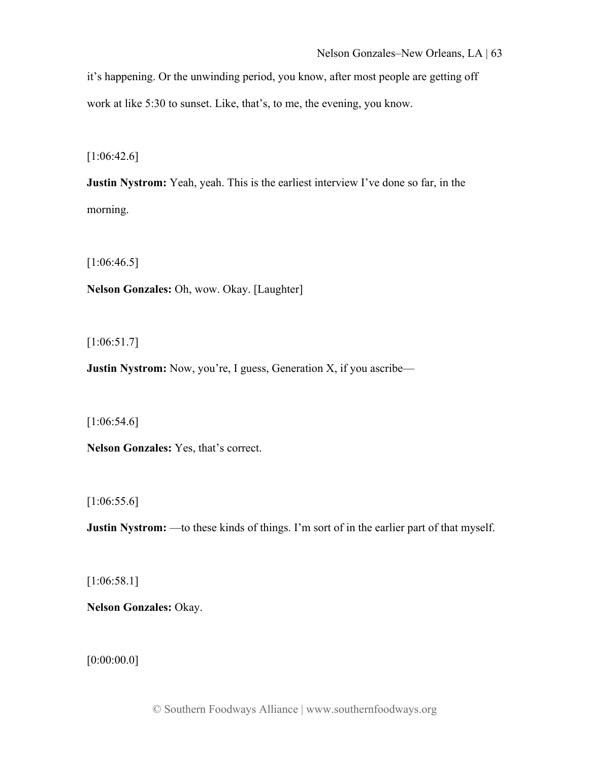it's happening. Or the unwinding period, you know, after most people are getting off work at like 5:30 to sunset. Like, that's, to me, the evening, you know.

[1:06:42.6]

**Justin Nystrom:** Yeah, yeah. This is the earliest interview I've done so far, in the morning.

[1:06:46.5]

**Nelson Gonzales:** Oh, wow. Okay. [Laughter]

[1:06:51.7]

**Justin Nystrom:** Now, you're, I guess, Generation X, if you ascribe—

[1:06:54.6]

**Nelson Gonzales:** Yes, that's correct.

[1:06:55.6]

**Justin Nystrom:** —to these kinds of things. I'm sort of in the earlier part of that myself.

[1:06:58.1]

**Nelson Gonzales:** Okay.

[0:00:00.0]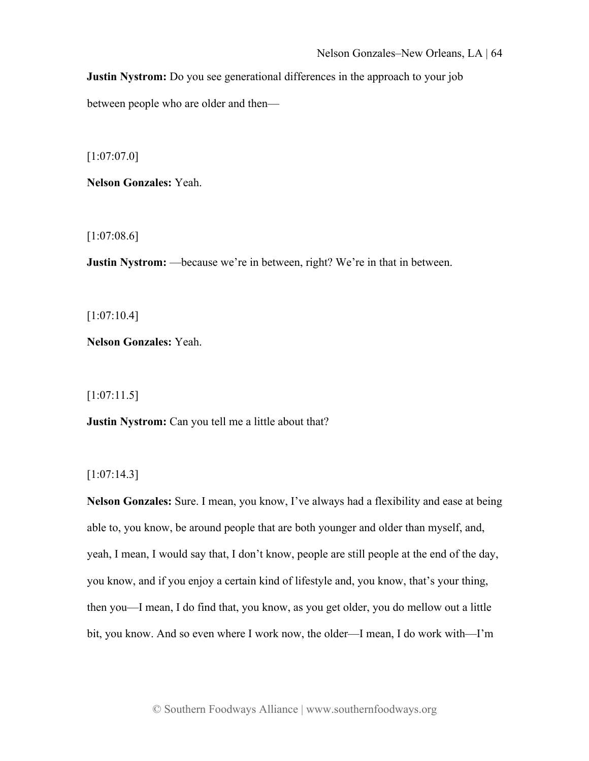**Justin Nystrom:** Do you see generational differences in the approach to your job

between people who are older and then—

[1:07:07.0]

**Nelson Gonzales:** Yeah.

 $[1:07:08.6]$ 

**Justin Nystrom:** —because we're in between, right? We're in that in between.

[1:07:10.4]

**Nelson Gonzales:** Yeah.

[1:07:11.5]

**Justin Nystrom:** Can you tell me a little about that?

[1:07:14.3]

**Nelson Gonzales:** Sure. I mean, you know, I've always had a flexibility and ease at being able to, you know, be around people that are both younger and older than myself, and, yeah, I mean, I would say that, I don't know, people are still people at the end of the day, you know, and if you enjoy a certain kind of lifestyle and, you know, that's your thing, then you—I mean, I do find that, you know, as you get older, you do mellow out a little bit, you know. And so even where I work now, the older—I mean, I do work with—I'm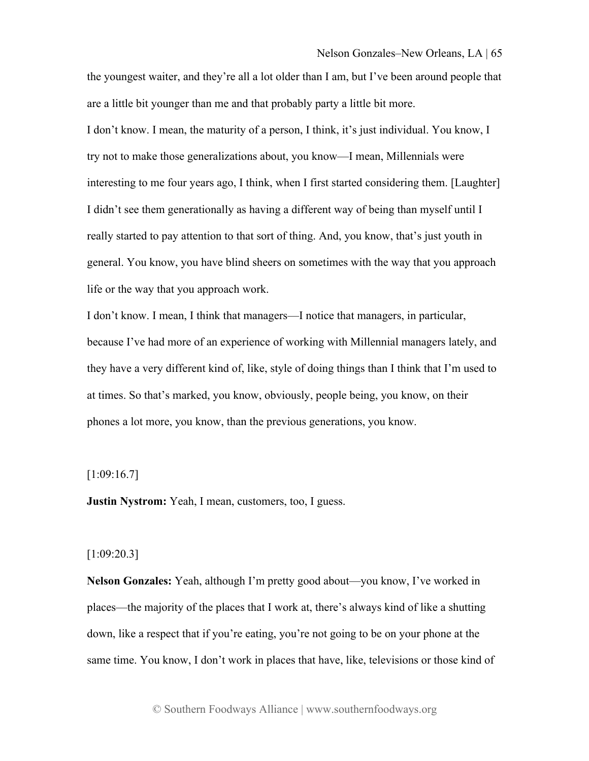the youngest waiter, and they're all a lot older than I am, but I've been around people that are a little bit younger than me and that probably party a little bit more.

I don't know. I mean, the maturity of a person, I think, it's just individual. You know, I try not to make those generalizations about, you know—I mean, Millennials were interesting to me four years ago, I think, when I first started considering them. [Laughter] I didn't see them generationally as having a different way of being than myself until I really started to pay attention to that sort of thing. And, you know, that's just youth in general. You know, you have blind sheers on sometimes with the way that you approach life or the way that you approach work.

I don't know. I mean, I think that managers—I notice that managers, in particular, because I've had more of an experience of working with Millennial managers lately, and they have a very different kind of, like, style of doing things than I think that I'm used to at times. So that's marked, you know, obviously, people being, you know, on their phones a lot more, you know, than the previous generations, you know.

## [1:09:16.7]

**Justin Nystrom:** Yeah, I mean, customers, too, I guess.

## [1:09:20.3]

**Nelson Gonzales:** Yeah, although I'm pretty good about—you know, I've worked in places—the majority of the places that I work at, there's always kind of like a shutting down, like a respect that if you're eating, you're not going to be on your phone at the same time. You know, I don't work in places that have, like, televisions or those kind of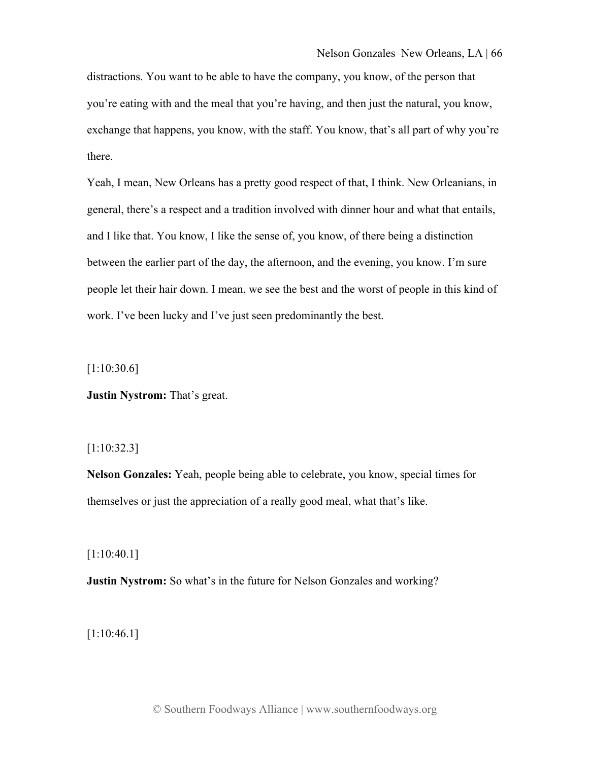distractions. You want to be able to have the company, you know, of the person that you're eating with and the meal that you're having, and then just the natural, you know, exchange that happens, you know, with the staff. You know, that's all part of why you're there.

Yeah, I mean, New Orleans has a pretty good respect of that, I think. New Orleanians, in general, there's a respect and a tradition involved with dinner hour and what that entails, and I like that. You know, I like the sense of, you know, of there being a distinction between the earlier part of the day, the afternoon, and the evening, you know. I'm sure people let their hair down. I mean, we see the best and the worst of people in this kind of work. I've been lucky and I've just seen predominantly the best.

[1:10:30.6]

**Justin Nystrom:** That's great.

## [1:10:32.3]

**Nelson Gonzales:** Yeah, people being able to celebrate, you know, special times for themselves or just the appreciation of a really good meal, what that's like.

[1:10:40.1]

**Justin Nystrom:** So what's in the future for Nelson Gonzales and working?

[1:10:46.1]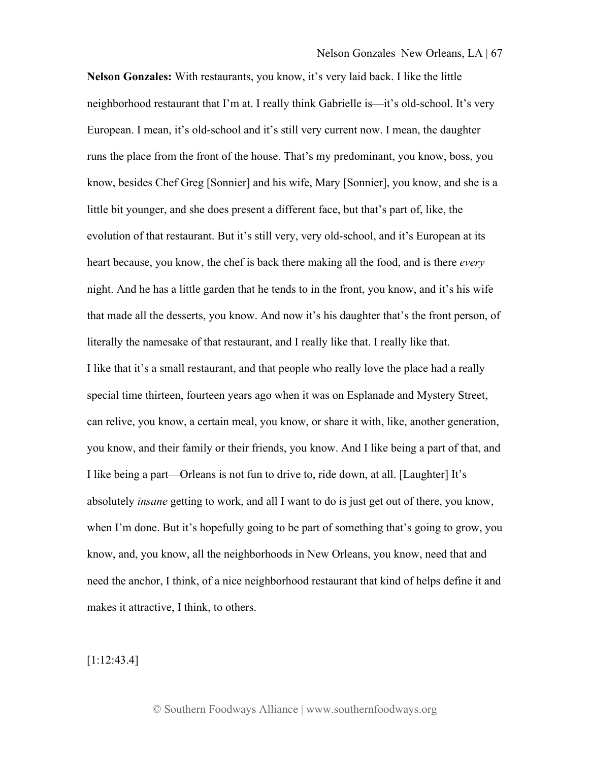**Nelson Gonzales:** With restaurants, you know, it's very laid back. I like the little neighborhood restaurant that I'm at. I really think Gabrielle is—it's old-school. It's very European. I mean, it's old-school and it's still very current now. I mean, the daughter runs the place from the front of the house. That's my predominant, you know, boss, you know, besides Chef Greg [Sonnier] and his wife, Mary [Sonnier], you know, and she is a little bit younger, and she does present a different face, but that's part of, like, the evolution of that restaurant. But it's still very, very old-school, and it's European at its heart because, you know, the chef is back there making all the food, and is there *every* night. And he has a little garden that he tends to in the front, you know, and it's his wife that made all the desserts, you know. And now it's his daughter that's the front person, of literally the namesake of that restaurant, and I really like that. I really like that. I like that it's a small restaurant, and that people who really love the place had a really special time thirteen, fourteen years ago when it was on Esplanade and Mystery Street, can relive, you know, a certain meal, you know, or share it with, like, another generation, you know, and their family or their friends, you know. And I like being a part of that, and I like being a part—Orleans is not fun to drive to, ride down, at all. [Laughter] It's absolutely *insane* getting to work, and all I want to do is just get out of there, you know, when I'm done. But it's hopefully going to be part of something that's going to grow, you know, and, you know, all the neighborhoods in New Orleans, you know, need that and need the anchor, I think, of a nice neighborhood restaurant that kind of helps define it and makes it attractive, I think, to others.

[1:12:43.4]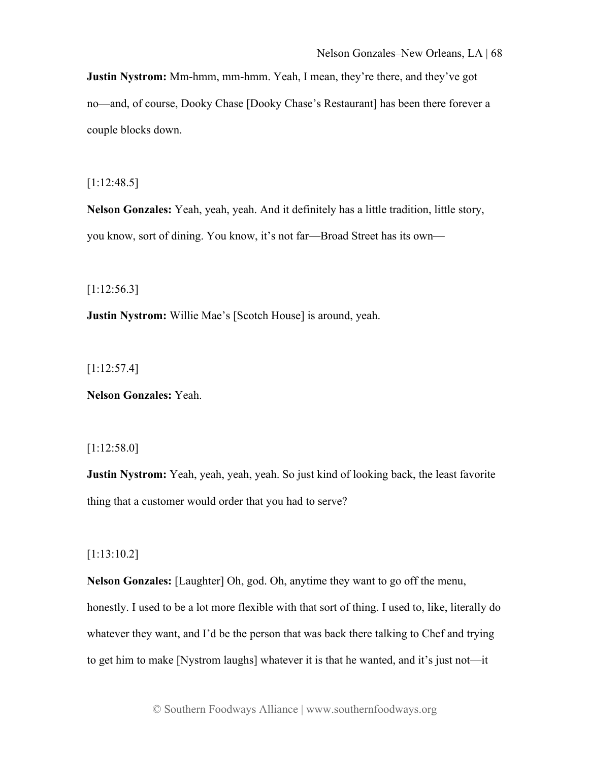**Justin Nystrom:** Mm-hmm, mm-hmm. Yeah, I mean, they're there, and they've got no—and, of course, Dooky Chase [Dooky Chase's Restaurant] has been there forever a couple blocks down.

[1:12:48.5]

**Nelson Gonzales:** Yeah, yeah, yeah. And it definitely has a little tradition, little story, you know, sort of dining. You know, it's not far—Broad Street has its own—

[1:12:56.3]

**Justin Nystrom:** Willie Mae's [Scotch House] is around, yeah.

[1:12:57.4]

**Nelson Gonzales:** Yeah.

[1:12:58.0]

**Justin Nystrom:** Yeah, yeah, yeah, yeah. So just kind of looking back, the least favorite thing that a customer would order that you had to serve?

[1:13:10.2]

**Nelson Gonzales:** [Laughter] Oh, god. Oh, anytime they want to go off the menu, honestly. I used to be a lot more flexible with that sort of thing. I used to, like, literally do whatever they want, and I'd be the person that was back there talking to Chef and trying to get him to make [Nystrom laughs] whatever it is that he wanted, and it's just not—it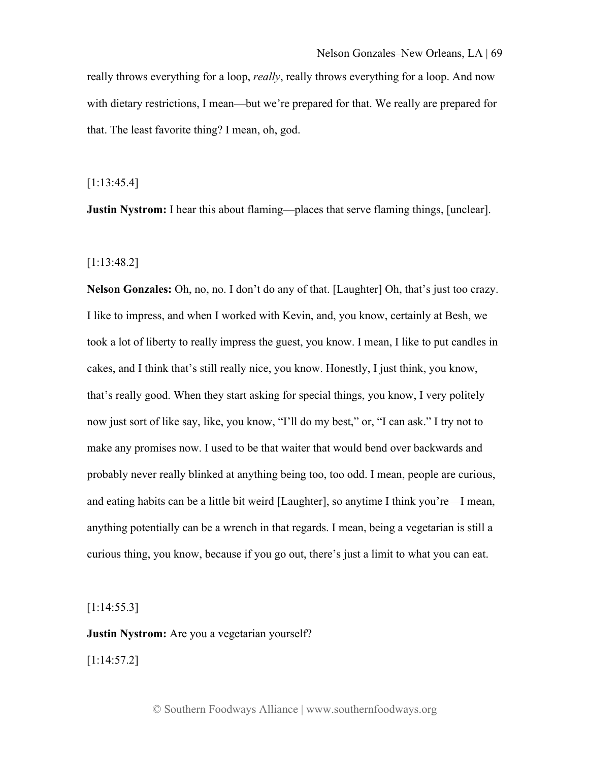really throws everything for a loop, *really*, really throws everything for a loop. And now with dietary restrictions, I mean—but we're prepared for that. We really are prepared for that. The least favorite thing? I mean, oh, god.

[1:13:45.4]

**Justin Nystrom:** I hear this about flaming—places that serve flaming things, [unclear].

[1:13:48.2]

**Nelson Gonzales:** Oh, no, no. I don't do any of that. [Laughter] Oh, that's just too crazy. I like to impress, and when I worked with Kevin, and, you know, certainly at Besh, we took a lot of liberty to really impress the guest, you know. I mean, I like to put candles in cakes, and I think that's still really nice, you know. Honestly, I just think, you know, that's really good. When they start asking for special things, you know, I very politely now just sort of like say, like, you know, "I'll do my best," or, "I can ask." I try not to make any promises now. I used to be that waiter that would bend over backwards and probably never really blinked at anything being too, too odd. I mean, people are curious, and eating habits can be a little bit weird [Laughter], so anytime I think you're—I mean, anything potentially can be a wrench in that regards. I mean, being a vegetarian is still a curious thing, you know, because if you go out, there's just a limit to what you can eat.

[1:14:55.3]

**Justin Nystrom:** Are you a vegetarian yourself?

[1:14:57.2]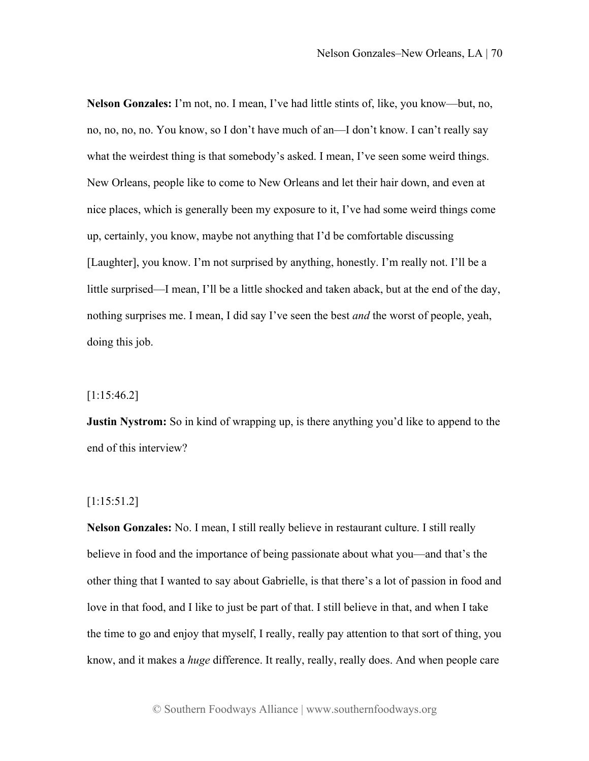**Nelson Gonzales:** I'm not, no. I mean, I've had little stints of, like, you know—but, no, no, no, no, no. You know, so I don't have much of an—I don't know. I can't really say what the weirdest thing is that somebody's asked. I mean, I've seen some weird things. New Orleans, people like to come to New Orleans and let their hair down, and even at nice places, which is generally been my exposure to it, I've had some weird things come up, certainly, you know, maybe not anything that I'd be comfortable discussing [Laughter], you know. I'm not surprised by anything, honestly. I'm really not. I'll be a little surprised—I mean, I'll be a little shocked and taken aback, but at the end of the day, nothing surprises me. I mean, I did say I've seen the best *and* the worst of people, yeah, doing this job.

#### [1:15:46.2]

**Justin Nystrom:** So in kind of wrapping up, is there anything you'd like to append to the end of this interview?

# [1:15:51.2]

**Nelson Gonzales:** No. I mean, I still really believe in restaurant culture. I still really believe in food and the importance of being passionate about what you—and that's the other thing that I wanted to say about Gabrielle, is that there's a lot of passion in food and love in that food, and I like to just be part of that. I still believe in that, and when I take the time to go and enjoy that myself, I really, really pay attention to that sort of thing, you know, and it makes a *huge* difference. It really, really, really does. And when people care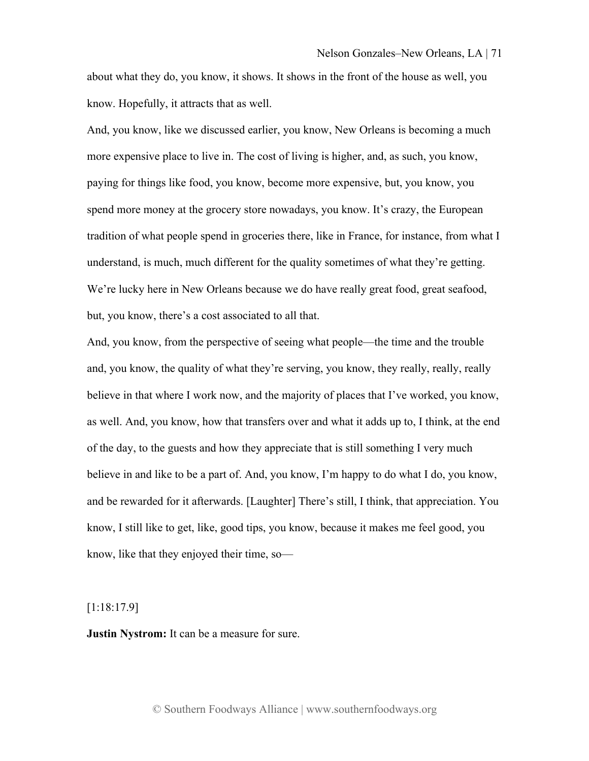about what they do, you know, it shows. It shows in the front of the house as well, you know. Hopefully, it attracts that as well.

And, you know, like we discussed earlier, you know, New Orleans is becoming a much more expensive place to live in. The cost of living is higher, and, as such, you know, paying for things like food, you know, become more expensive, but, you know, you spend more money at the grocery store nowadays, you know. It's crazy, the European tradition of what people spend in groceries there, like in France, for instance, from what I understand, is much, much different for the quality sometimes of what they're getting. We're lucky here in New Orleans because we do have really great food, great seafood, but, you know, there's a cost associated to all that.

And, you know, from the perspective of seeing what people—the time and the trouble and, you know, the quality of what they're serving, you know, they really, really, really believe in that where I work now, and the majority of places that I've worked, you know, as well. And, you know, how that transfers over and what it adds up to, I think, at the end of the day, to the guests and how they appreciate that is still something I very much believe in and like to be a part of. And, you know, I'm happy to do what I do, you know, and be rewarded for it afterwards. [Laughter] There's still, I think, that appreciation. You know, I still like to get, like, good tips, you know, because it makes me feel good, you know, like that they enjoyed their time, so—

[1:18:17.9]

**Justin Nystrom:** It can be a measure for sure.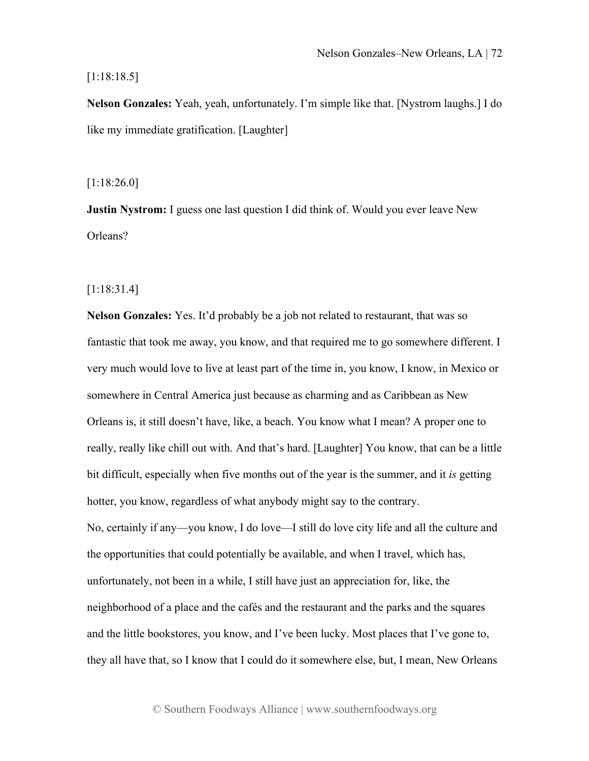## [1:18:18.5]

**Nelson Gonzales:** Yeah, yeah, unfortunately. I'm simple like that. [Nystrom laughs.] I do like my immediate gratification. [Laughter]

## [1:18:26.0]

**Justin Nystrom:** I guess one last question I did think of. Would you ever leave New Orleans?

## [1:18:31.4]

**Nelson Gonzales:** Yes. It'd probably be a job not related to restaurant, that was so fantastic that took me away, you know, and that required me to go somewhere different. I very much would love to live at least part of the time in, you know, I know, in Mexico or somewhere in Central America just because as charming and as Caribbean as New Orleans is, it still doesn't have, like, a beach. You know what I mean? A proper one to really, really like chill out with. And that's hard. [Laughter] You know, that can be a little bit difficult, especially when five months out of the year is the summer, and it *is* getting hotter, you know, regardless of what anybody might say to the contrary. No, certainly if any—you know, I do love—I still do love city life and all the culture and the opportunities that could potentially be available, and when I travel, which has, unfortunately, not been in a while, I still have just an appreciation for, like, the neighborhood of a place and the cafés and the restaurant and the parks and the squares and the little bookstores, you know, and I've been lucky. Most places that I've gone to, they all have that, so I know that I could do it somewhere else, but, I mean, New Orleans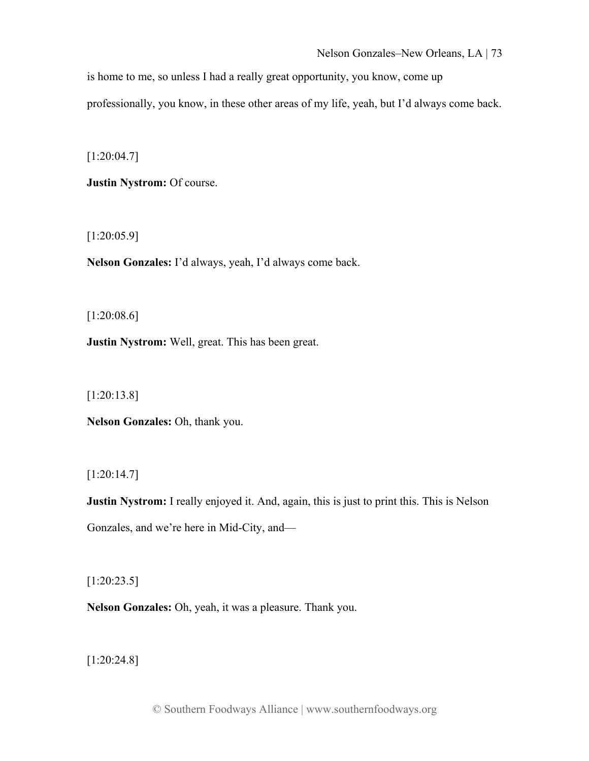is home to me, so unless I had a really great opportunity, you know, come up

professionally, you know, in these other areas of my life, yeah, but I'd always come back.

[1:20:04.7]

**Justin Nystrom:** Of course.

[1:20:05.9]

**Nelson Gonzales:** I'd always, yeah, I'd always come back.

[1:20:08.6]

**Justin Nystrom:** Well, great. This has been great.

[1:20:13.8]

**Nelson Gonzales:** Oh, thank you.

[1:20:14.7]

**Justin Nystrom:** I really enjoyed it. And, again, this is just to print this. This is Nelson Gonzales, and we're here in Mid-City, and—

[1:20:23.5]

**Nelson Gonzales:** Oh, yeah, it was a pleasure. Thank you.

[1:20:24.8]